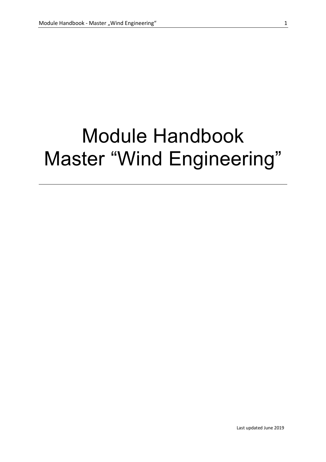# Module Handbook Master "Wind Engineering"

Last updated June 2019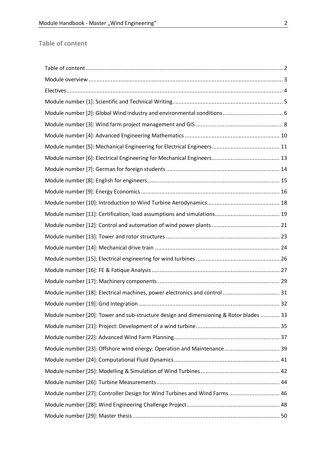#### **Table of content**

| Module number [18]: Electrical machines, power electronics and control  31             |  |
|----------------------------------------------------------------------------------------|--|
|                                                                                        |  |
| Module number [20]: Tower and sub-structure design and dimensioning & Rotor blades  33 |  |
|                                                                                        |  |
|                                                                                        |  |
|                                                                                        |  |
|                                                                                        |  |
|                                                                                        |  |
|                                                                                        |  |
| Module number [27]: Controller Design for Wind Turbines and Wind Farms  46             |  |
|                                                                                        |  |
|                                                                                        |  |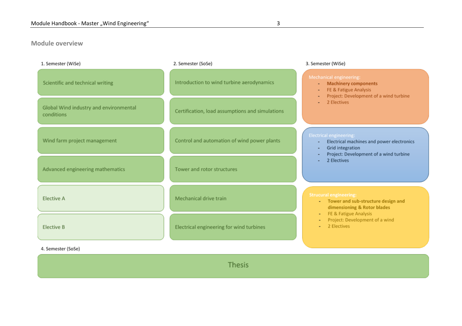#### **Module overview**

| 1. Semester (WiSe)                                   | 2. Semester (SoSe)                              | 3. Semester (WiSe)                                                                                                                                  |
|------------------------------------------------------|-------------------------------------------------|-----------------------------------------------------------------------------------------------------------------------------------------------------|
| Scientific and technical writing                     | Introduction to wind turbine aerodynamics       | Mechanical engineering:<br><b>Machinery components</b><br>٠<br>FE & Fatigue Analysis<br>٠<br>Project: Development of a wind turbine<br>÷            |
| Global Wind industry and environmental<br>conditions | Certification, load assumptions and simulations | 2 Electives                                                                                                                                         |
| Wind farm project management                         | Control and automation of wind power plants     | <b>Electrical engineering:</b><br>Electrical machines and power electronics<br>٠<br>Grid integration<br>٠<br>Project: Development of a wind turbine |
| Advanced engineering mathematics                     | Tower and rotor structures                      | 2 Electives                                                                                                                                         |
| <b>Elective A</b>                                    | Mechanical drive train                          | <b>Strucural engineering:</b><br>- Tower and sub-structure design and<br>dimensioning & Rotor blades                                                |
| <b>Elective B</b>                                    | Electrical engineering for wind turbines        | FE & Fatigue Analysis<br>$\overline{\phantom{a}}$<br>Project: Development of a wind<br>2 Electives                                                  |
| 4. Semester (SoSe)                                   |                                                 |                                                                                                                                                     |
|                                                      |                                                 |                                                                                                                                                     |

Thesis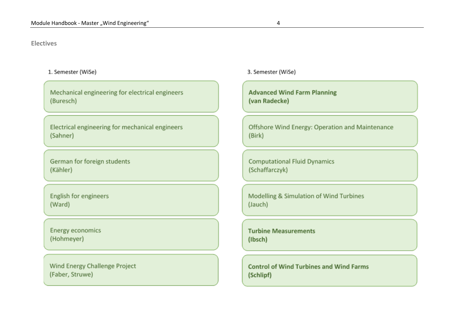#### **Electives**

#### 1. Semester (WiSe)

Mechanical engineering for electrical engineers (Buresch)

Electrical engineering for mechanical engineers (Sahner)

German for foreign students (Kähler)

English for engineers (Ward)

Energy economics (Hohmeyer)

Wind Energy Challenge Project (Faber, Struwe)

3. Semester (WiSe)

**Advanced Wind Farm Planning** (van Radecke)

Offshore Wind Energy: Operation and Maintenance (Birk)

**Computational Fluid Dynamics** (Schaffarczyk)

Modelling & Simulation of Wind Turbines (Jauch)

**Turbine Measurements** (Ibsch)

**Control of Wind Turbines and Wind Farms** (Schlipf)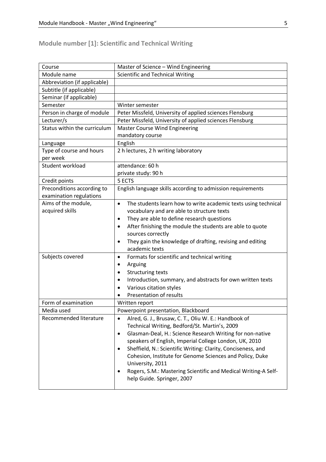# **Module number [1]: Scientific and Technical Writing**

| Course                       | Master of Science - Wind Engineering                                        |
|------------------------------|-----------------------------------------------------------------------------|
| Module name                  | <b>Scientific and Technical Writing</b>                                     |
| Abbreviation (if applicable) |                                                                             |
| Subtitle (if applicable)     |                                                                             |
| Seminar (if applicable)      |                                                                             |
| Semester                     | Winter semester                                                             |
| Person in charge of module   | Peter Missfeld, University of applied sciences Flensburg                    |
| Lecturer/s                   | Peter Missfeld, University of applied sciences Flensburg                    |
| Status within the curriculum | <b>Master Course Wind Engineering</b>                                       |
|                              | mandatory course                                                            |
| Language                     | English                                                                     |
| Type of course and hours     | 2 h lectures, 2 h writing laboratory                                        |
| per week                     |                                                                             |
| Student workload             | attendance: 60 h                                                            |
|                              | private study: 90 h                                                         |
| Credit points                | 5 ECTS                                                                      |
| Preconditions according to   | English language skills according to admission requirements                 |
| examination regulations      |                                                                             |
| Aims of the module,          | The students learn how to write academic texts using technical<br>$\bullet$ |
| acquired skills              | vocabulary and are able to structure texts                                  |
|                              | They are able to define research questions<br>$\bullet$                     |
|                              | After finishing the module the students are able to quote<br>$\bullet$      |
|                              | sources correctly                                                           |
|                              | They gain the knowledge of drafting, revising and editing<br>٠              |
|                              | academic texts                                                              |
| Subjects covered             | Formats for scientific and technical writing<br>$\bullet$                   |
|                              | Arguing<br>٠                                                                |
|                              | <b>Structuring texts</b><br>٠                                               |
|                              | Introduction, summary, and abstracts for own written texts<br>$\bullet$     |
|                              | Various citation styles                                                     |
|                              | Presentation of results                                                     |
| Form of examination          | Written report                                                              |
| Media used                   | Powerpoint presentation, Blackboard                                         |
| Recommended literature       | Alred, G. J., Brusaw, C. T., Oliu W. E.: Handbook of<br>$\bullet$           |
|                              | Technical Writing, Bedford/St. Martin's, 2009                               |
|                              | Glasman-Deal, H.: Science Research Writing for non-native<br>٠              |
|                              | speakers of English, Imperial College London, UK, 2010                      |
|                              | Sheffield, N.: Scientific Writing: Clarity, Conciseness, and                |
|                              | Cohesion, Institute for Genome Sciences and Policy, Duke                    |
|                              | University, 2011                                                            |
|                              | Rogers, S.M.: Mastering Scientific and Medical Writing-A Self-              |
|                              | help Guide. Springer, 2007                                                  |
|                              |                                                                             |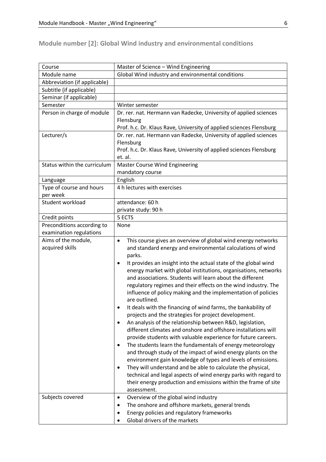# **Module number [2]: Global Wind industry and environmental conditions**

| Course                               | Master of Science - Wind Engineering                                                                                               |  |
|--------------------------------------|------------------------------------------------------------------------------------------------------------------------------------|--|
| Module name                          | Global Wind industry and environmental conditions                                                                                  |  |
| Abbreviation (if applicable)         |                                                                                                                                    |  |
| Subtitle (if applicable)             |                                                                                                                                    |  |
| Seminar (if applicable)              |                                                                                                                                    |  |
| Semester                             | Winter semester                                                                                                                    |  |
| Person in charge of module           | Dr. rer. nat. Hermann van Radecke, University of applied sciences<br>Flensburg                                                     |  |
|                                      | Prof. h.c. Dr. Klaus Rave, University of applied sciences Flensburg                                                                |  |
| Lecturer/s                           | Dr. rer. nat. Hermann van Radecke, University of applied sciences                                                                  |  |
|                                      | Flensburg                                                                                                                          |  |
|                                      | Prof. h.c. Dr. Klaus Rave, University of applied sciences Flensburg                                                                |  |
|                                      | et. al.                                                                                                                            |  |
| Status within the curriculum         | <b>Master Course Wind Engineering</b>                                                                                              |  |
|                                      | mandatory course                                                                                                                   |  |
| Language                             | English                                                                                                                            |  |
| Type of course and hours<br>per week | 4 h lectures with exercises                                                                                                        |  |
| Student workload                     | attendance: 60 h                                                                                                                   |  |
|                                      | private study: 90 h                                                                                                                |  |
| Credit points                        | 5 ECTS                                                                                                                             |  |
| Preconditions according to           | None                                                                                                                               |  |
| examination regulations              |                                                                                                                                    |  |
| Aims of the module,                  | This course gives an overview of global wind energy networks<br>$\bullet$                                                          |  |
| acquired skills                      | and standard energy and environmental calculations of wind<br>parks.                                                               |  |
|                                      | $\bullet$                                                                                                                          |  |
|                                      | It provides an insight into the actual state of the global wind<br>energy market with global institutions, organisations, networks |  |
|                                      | and associations. Students will learn about the different                                                                          |  |
|                                      | regulatory regimes and their effects on the wind industry. The                                                                     |  |
|                                      | influence of policy making and the implementation of policies                                                                      |  |
|                                      | are outlined.                                                                                                                      |  |
|                                      | It deals with the financing of wind farms, the bankability of                                                                      |  |
|                                      | projects and the strategies for project development.                                                                               |  |
|                                      | An analysis of the relationship between R&D, legislation,                                                                          |  |
|                                      | different climates and onshore and offshore installations will                                                                     |  |
|                                      | provide students with valuable experience for future careers.                                                                      |  |
|                                      | The students learn the fundamentals of energy meteorology                                                                          |  |
|                                      | and through study of the impact of wind energy plants on the                                                                       |  |
|                                      | environment gain knowledge of types and levels of emissions.                                                                       |  |
|                                      | They will understand and be able to calculate the physical,<br>٠                                                                   |  |
|                                      | technical and legal aspects of wind energy parks with regard to                                                                    |  |
|                                      | their energy production and emissions within the frame of site                                                                     |  |
|                                      | assessment.                                                                                                                        |  |
| Subjects covered                     | Overview of the global wind industry<br>٠                                                                                          |  |
|                                      | The onshore and offshore markets, general trends                                                                                   |  |
|                                      | Energy policies and regulatory frameworks<br>٠                                                                                     |  |
|                                      | Global drivers of the markets                                                                                                      |  |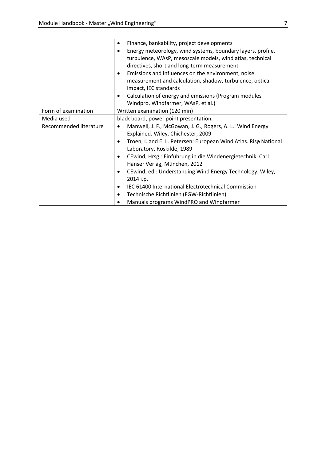|                        | Finance, bankability, project developments                               |
|------------------------|--------------------------------------------------------------------------|
|                        | Energy meteorology, wind systems, boundary layers, profile,<br>$\bullet$ |
|                        | turbulence, WAsP, mesoscale models, wind atlas, technical                |
|                        | directives, short and long-term measurement                              |
|                        | Emissions and influences on the environment, noise<br>٠                  |
|                        | measurement and calculation, shadow, turbulence, optical                 |
|                        | impact, IEC standards                                                    |
|                        | Calculation of energy and emissions (Program modules<br>٠                |
|                        | Windpro, Windfarmer, WAsP, et al.)                                       |
| Form of examination    | Written examination (120 min)                                            |
| Media used             | black board, power point presentation,                                   |
| Recommended literature | Manwell, J. F., McGowan, J. G., Rogers, A. L.: Wind Energy<br>$\bullet$  |
|                        |                                                                          |
|                        | Explained. Wiley, Chichester, 2009                                       |
|                        | Troen, I. and E. L. Petersen: European Wind Atlas. Risø National         |
|                        | Laboratory, Roskilde, 1989                                               |
|                        | CEwind, Hrsg.: Einführung in die Windenergietechnik. Carl<br>٠           |
|                        | Hanser Verlag, München, 2012                                             |
|                        | CEwind, ed.: Understanding Wind Energy Technology. Wiley,<br>٠           |
|                        | 2014 i.p.                                                                |
|                        | IEC 61400 International Electrotechnical Commission<br>٠                 |
|                        | Technische Richtlinien (FGW-Richtlinien)<br>٠                            |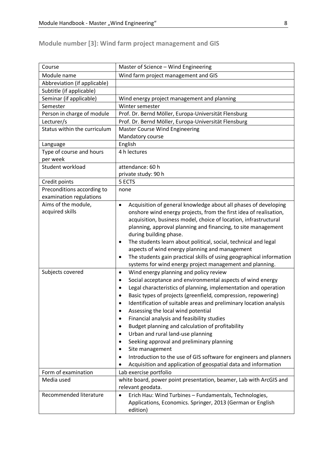# **Module number [3]: Wind farm project management and GIS**

| Course                       | Master of Science - Wind Engineering                                              |
|------------------------------|-----------------------------------------------------------------------------------|
| Module name                  | Wind farm project management and GIS                                              |
| Abbreviation (if applicable) |                                                                                   |
| Subtitle (if applicable)     |                                                                                   |
| Seminar (if applicable)      | Wind energy project management and planning                                       |
| Semester                     | Winter semester                                                                   |
| Person in charge of module   | Prof. Dr. Bernd Möller, Europa-Universität Flensburg                              |
| Lecturer/s                   | Prof. Dr. Bernd Möller, Europa-Universität Flensburg                              |
| Status within the curriculum | <b>Master Course Wind Engineering</b>                                             |
|                              | Mandatory course                                                                  |
| Language                     | English                                                                           |
| Type of course and hours     | 4 h lectures                                                                      |
| per week                     |                                                                                   |
| Student workload             | attendance: 60 h                                                                  |
|                              | private study: 90 h                                                               |
| Credit points                | 5 ECTS                                                                            |
| Preconditions according to   | none                                                                              |
| examination regulations      |                                                                                   |
| Aims of the module,          | Acquisition of general knowledge about all phases of developing<br>$\bullet$      |
| acquired skills              | onshore wind energy projects, from the first idea of realisation,                 |
|                              | acquisition, business model, choice of location, infrastructural                  |
|                              | planning, approval planning and financing, to site management                     |
|                              | during building phase.                                                            |
|                              | The students learn about political, social, technical and legal<br>$\bullet$      |
|                              | aspects of wind energy planning and management                                    |
|                              | The students gain practical skills of using geographical information<br>$\bullet$ |
|                              | systems for wind energy project management and planning.                          |
| Subjects covered             | Wind energy planning and policy review<br>$\bullet$                               |
|                              | Social acceptance and environmental aspects of wind energy<br>$\bullet$           |
|                              | Legal characteristics of planning, implementation and operation<br>$\bullet$      |
|                              | Basic types of projects (greenfield, compression, repowering)                     |
|                              | Identification of suitable areas and preliminary location analysis                |
|                              | Assessing the local wind potential<br>٠                                           |
|                              | Financial analysis and feasibility studies                                        |
|                              | Budget planning and calculation of profitability                                  |
|                              | Urban and rural land-use planning<br>٠                                            |
|                              | Seeking approval and preliminary planning                                         |
|                              | Site management                                                                   |
|                              | Introduction to the use of GIS software for engineers and planners<br>٠           |
|                              | Acquisition and application of geospatial data and information                    |
| Form of examination          | Lab exercise portfolio                                                            |
| Media used                   | white board, power point presentation, beamer, Lab with ArcGIS and                |
|                              | relevant geodata.                                                                 |
| Recommended literature       | Erich Hau: Wind Turbines - Fundamentals, Technologies,<br>$\bullet$               |
|                              | Applications, Economics. Springer, 2013 (German or English                        |
|                              | edition)                                                                          |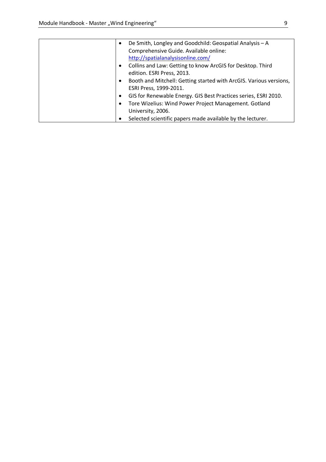| $\bullet$ | De Smith, Longley and Goodchild: Geospatial Analysis - A           |
|-----------|--------------------------------------------------------------------|
|           | Comprehensive Guide. Available online:                             |
|           | http://spatialanalysisonline.com/                                  |
| $\bullet$ | Collins and Law: Getting to know ArcGIS for Desktop. Third         |
|           | edition. ESRI Press, 2013.                                         |
| $\bullet$ | Booth and Mitchell: Getting started with ArcGIS. Various versions, |
|           | ESRI Press, 1999-2011.                                             |
| $\bullet$ | GIS for Renewable Energy. GIS Best Practices series, ESRI 2010.    |
|           | Tore Wizelius: Wind Power Project Management. Gotland              |
|           | University, 2006.                                                  |
|           | Selected scientific papers made available by the lecturer.         |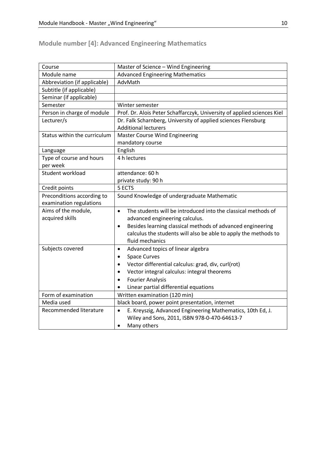# **Module number [4]: Advanced Engineering Mathematics**

| Course                       | Master of Science - Wind Engineering                                       |
|------------------------------|----------------------------------------------------------------------------|
| Module name                  | <b>Advanced Engineering Mathematics</b>                                    |
| Abbreviation (if applicable) | AdvMath                                                                    |
| Subtitle (if applicable)     |                                                                            |
| Seminar (if applicable)      |                                                                            |
| Semester                     | Winter semester                                                            |
| Person in charge of module   | Prof. Dr. Alois Peter Schaffarczyk, University of applied sciences Kiel    |
| Lecturer/s                   | Dr. Falk Scharnberg, University of applied sciences Flensburg              |
|                              | <b>Additional lecturers</b>                                                |
| Status within the curriculum | <b>Master Course Wind Engineering</b>                                      |
|                              | mandatory course                                                           |
| Language                     | English                                                                    |
| Type of course and hours     | 4 h lectures                                                               |
| per week                     |                                                                            |
| Student workload             | attendance: 60 h                                                           |
|                              | private study: 90 h                                                        |
| Credit points                | 5 ECTS                                                                     |
| Preconditions according to   | Sound Knowledge of undergraduate Mathematic                                |
| examination regulations      |                                                                            |
| Aims of the module,          | The students will be introduced into the classical methods of<br>$\bullet$ |
| acquired skills              | advanced engineering calculus.                                             |
|                              | Besides learning classical methods of advanced engineering<br>$\bullet$    |
|                              | calculus the students will also be able to apply the methods to            |
|                              | fluid mechanics                                                            |
| Subjects covered             | Advanced topics of linear algebra<br>$\bullet$                             |
|                              | <b>Space Curves</b><br>$\bullet$                                           |
|                              | Vector differential calculus: grad, div, curl(rot)<br>$\bullet$            |
|                              | Vector integral calculus: integral theorems<br>$\bullet$                   |
|                              | <b>Fourier Analysis</b><br>$\bullet$                                       |
|                              | Linear partial differential equations                                      |
| Form of examination          | Written examination (120 min)                                              |
| Media used                   | black board, power point presentation, internet                            |
| Recommended literature       | E. Kreyszig, Advanced Engineering Mathematics, 10th Ed, J.<br>$\bullet$    |
|                              | Wiley and Sons, 2011, ISBN 978-0-470-64613-7                               |
|                              | Many others<br>$\bullet$                                                   |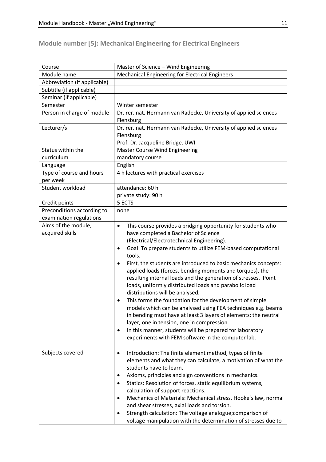# **Module number [5]: Mechanical Engineering for Electrical Engineers**

| Course                       | Master of Science - Wind Engineering                                                                                                     |
|------------------------------|------------------------------------------------------------------------------------------------------------------------------------------|
| Module name                  | Mechanical Engineering for Electrical Engineers                                                                                          |
| Abbreviation (if applicable) |                                                                                                                                          |
| Subtitle (if applicable)     |                                                                                                                                          |
| Seminar (if applicable)      |                                                                                                                                          |
| Semester                     | Winter semester                                                                                                                          |
| Person in charge of module   | Dr. rer. nat. Hermann van Radecke, University of applied sciences                                                                        |
|                              | Flensburg                                                                                                                                |
| Lecturer/s                   | Dr. rer. nat. Hermann van Radecke, University of applied sciences                                                                        |
|                              | Flensburg                                                                                                                                |
|                              | Prof. Dr. Jacqueline Bridge, UWI                                                                                                         |
| Status within the            | <b>Master Course Wind Engineering</b>                                                                                                    |
| curriculum                   | mandatory course                                                                                                                         |
| Language                     | English                                                                                                                                  |
| Type of course and hours     | 4 h lectures with practical exercises                                                                                                    |
| per week                     |                                                                                                                                          |
| Student workload             | attendance: 60 h                                                                                                                         |
|                              | private study: 90 h                                                                                                                      |
| Credit points                | 5 ECTS                                                                                                                                   |
| Preconditions according to   | none                                                                                                                                     |
| examination regulations      |                                                                                                                                          |
| Aims of the module,          | This course provides a bridging opportunity for students who<br>$\bullet$                                                                |
| acquired skills              | have completed a Bachelor of Science                                                                                                     |
|                              | (Electrical/Electrotechnical Engineering).                                                                                               |
|                              | Goal: To prepare students to utilize FEM-based computational<br>$\bullet$<br>tools.                                                      |
|                              |                                                                                                                                          |
|                              | First, the students are introduced to basic mechanics concepts:<br>$\bullet$<br>applied loads (forces, bending moments and torques), the |
|                              | resulting internal loads and the generation of stresses. Point                                                                           |
|                              | loads, uniformly distributed loads and parabolic load                                                                                    |
|                              | distributions will be analysed.                                                                                                          |
|                              | This forms the foundation for the development of simple<br>٠                                                                             |
|                              | models which can be analysed using FEA techniques e.g. beams                                                                             |
|                              | in bending must have at least 3 layers of elements: the neutral                                                                          |
|                              | layer, one in tension, one in compression.                                                                                               |
|                              | In this manner, students will be prepared for laboratory<br>٠                                                                            |
|                              | experiments with FEM software in the computer lab.                                                                                       |
|                              |                                                                                                                                          |
| Subjects covered             | Introduction: The finite element method, types of finite<br>$\bullet$                                                                    |
|                              | elements and what they can calculate, a motivation of what the                                                                           |
|                              | students have to learn.                                                                                                                  |
|                              | Axioms, principles and sign conventions in mechanics.<br>٠                                                                               |
|                              | Statics: Resolution of forces, static equilibrium systems,<br>$\bullet$                                                                  |
|                              | calculation of support reactions.                                                                                                        |
|                              | Mechanics of Materials: Mechanical stress, Hooke's law, normal<br>٠                                                                      |
|                              | and shear stresses, axial loads and torsion.                                                                                             |
|                              | Strength calculation: The voltage analogue; comparison of                                                                                |
|                              | voltage manipulation with the determination of stresses due to                                                                           |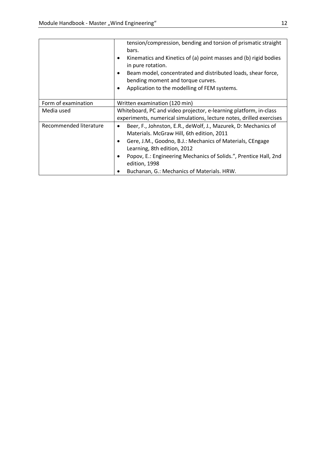|                        | tension/compression, bending and torsion of prismatic straight<br>bars.<br>Kinematics and Kinetics of (a) point masses and (b) rigid bodies<br>$\bullet$<br>in pure rotation.<br>Beam model, concentrated and distributed loads, shear force,<br>bending moment and torque curves.<br>Application to the modelling of FEM systems.<br>$\bullet$ |
|------------------------|-------------------------------------------------------------------------------------------------------------------------------------------------------------------------------------------------------------------------------------------------------------------------------------------------------------------------------------------------|
| Form of examination    | Written examination (120 min)                                                                                                                                                                                                                                                                                                                   |
| Media used             | Whiteboard, PC and video projector, e-learning platform, in-class                                                                                                                                                                                                                                                                               |
|                        | experiments, numerical simulations, lecture notes, drilled exercises                                                                                                                                                                                                                                                                            |
| Recommended literature | Beer, F., Johnston, E.R., deWolf, J., Mazurek, D: Mechanics of<br>$\bullet$                                                                                                                                                                                                                                                                     |
|                        | Materials. McGraw Hill, 6th edition, 2011                                                                                                                                                                                                                                                                                                       |
|                        | Gere, J.M., Goodno, B.J.: Mechanics of Materials, CEngage                                                                                                                                                                                                                                                                                       |
|                        | Learning, 8th edition, 2012                                                                                                                                                                                                                                                                                                                     |
|                        | Popov, E.: Engineering Mechanics of Solids.", Prentice Hall, 2nd                                                                                                                                                                                                                                                                                |
|                        | edition, 1998                                                                                                                                                                                                                                                                                                                                   |
|                        | Buchanan, G.: Mechanics of Materials. HRW.                                                                                                                                                                                                                                                                                                      |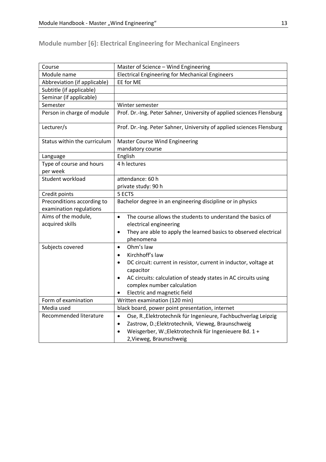# **Module number [6]: Electrical Engineering for Mechanical Engineers**

| Course                               | Master of Science - Wind Engineering                                                       |
|--------------------------------------|--------------------------------------------------------------------------------------------|
| Module name                          | <b>Electrical Engineering for Mechanical Engineers</b>                                     |
| Abbreviation (if applicable)         | EE for ME                                                                                  |
| Subtitle (if applicable)             |                                                                                            |
| Seminar (if applicable)              |                                                                                            |
| Semester                             | Winter semester                                                                            |
| Person in charge of module           | Prof. Dr.-Ing. Peter Sahner, University of applied sciences Flensburg                      |
| Lecturer/s                           | Prof. Dr.-Ing. Peter Sahner, University of applied sciences Flensburg                      |
| Status within the curriculum         | <b>Master Course Wind Engineering</b>                                                      |
|                                      | mandatory course                                                                           |
| Language                             | English                                                                                    |
| Type of course and hours<br>per week | 4 h lectures                                                                               |
| Student workload                     | attendance: 60 h                                                                           |
|                                      | private study: 90 h                                                                        |
| Credit points                        | 5 ECTS                                                                                     |
| Preconditions according to           | Bachelor degree in an engineering discipline or in physics                                 |
| examination regulations              |                                                                                            |
| Aims of the module,                  | The course allows the students to understand the basics of<br>$\bullet$                    |
| acquired skills                      | electrical engineering                                                                     |
|                                      | They are able to apply the learned basics to observed electrical<br>$\bullet$<br>phenomena |
| Subjects covered                     | Ohm's law<br>$\bullet$                                                                     |
|                                      | Kirchhoff's law<br>$\bullet$                                                               |
|                                      | DC circuit: current in resistor, current in inductor, voltage at<br>$\bullet$              |
|                                      | capacitor                                                                                  |
|                                      | AC circuits: calculation of steady states in AC circuits using<br>$\bullet$                |
|                                      | complex number calculation                                                                 |
|                                      | Electric and magnetic field<br>$\bullet$                                                   |
| Form of examination                  | Written examination (120 min)                                                              |
| Media used                           | black board, power point presentation, internet                                            |
| Recommended literature               | Ose, R., Elektrotechnik für Ingenieure, Fachbuchverlag Leipzig<br>$\bullet$                |
|                                      | Zastrow, D.; Elektrotechnik, Vieweg, Braunschweig<br>$\bullet$                             |
|                                      | Weisgerber, W.; Elektrotechnik für Ingenieuere Bd. 1+<br>$\bullet$                         |
|                                      | 2, Vieweg, Braunschweig                                                                    |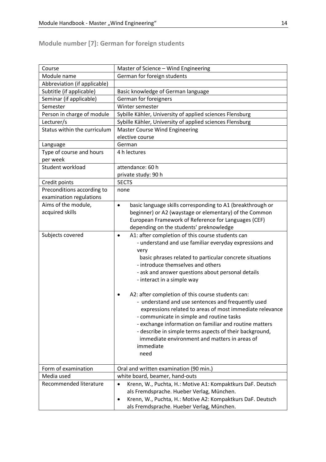# **Module number [7]: German for foreign students**

| Course                       | Master of Science - Wind Engineering                                                                                                                                                                                                                                                                                                                                                                                                                                                                                                                                                                                                                                                                                              |
|------------------------------|-----------------------------------------------------------------------------------------------------------------------------------------------------------------------------------------------------------------------------------------------------------------------------------------------------------------------------------------------------------------------------------------------------------------------------------------------------------------------------------------------------------------------------------------------------------------------------------------------------------------------------------------------------------------------------------------------------------------------------------|
| Module name                  | German for foreign students                                                                                                                                                                                                                                                                                                                                                                                                                                                                                                                                                                                                                                                                                                       |
| Abbreviation (if applicable) |                                                                                                                                                                                                                                                                                                                                                                                                                                                                                                                                                                                                                                                                                                                                   |
| Subtitle (if applicable)     | Basic knowledge of German language                                                                                                                                                                                                                                                                                                                                                                                                                                                                                                                                                                                                                                                                                                |
| Seminar (if applicable)      | German for foreigners                                                                                                                                                                                                                                                                                                                                                                                                                                                                                                                                                                                                                                                                                                             |
| Semester                     | Winter semester                                                                                                                                                                                                                                                                                                                                                                                                                                                                                                                                                                                                                                                                                                                   |
| Person in charge of module   | Sybille Kähler, University of applied sciences Flensburg                                                                                                                                                                                                                                                                                                                                                                                                                                                                                                                                                                                                                                                                          |
| Lecturer/s                   | Sybille Kähler, University of applied sciences Flensburg                                                                                                                                                                                                                                                                                                                                                                                                                                                                                                                                                                                                                                                                          |
| Status within the curriculum | <b>Master Course Wind Engineering</b>                                                                                                                                                                                                                                                                                                                                                                                                                                                                                                                                                                                                                                                                                             |
|                              | elective course                                                                                                                                                                                                                                                                                                                                                                                                                                                                                                                                                                                                                                                                                                                   |
| Language                     | German                                                                                                                                                                                                                                                                                                                                                                                                                                                                                                                                                                                                                                                                                                                            |
| Type of course and hours     | 4 h lectures                                                                                                                                                                                                                                                                                                                                                                                                                                                                                                                                                                                                                                                                                                                      |
| per week                     |                                                                                                                                                                                                                                                                                                                                                                                                                                                                                                                                                                                                                                                                                                                                   |
| Student workload             | attendance: 60 h                                                                                                                                                                                                                                                                                                                                                                                                                                                                                                                                                                                                                                                                                                                  |
|                              | private study: 90 h                                                                                                                                                                                                                                                                                                                                                                                                                                                                                                                                                                                                                                                                                                               |
| Credit points                | <b>5ECTS</b>                                                                                                                                                                                                                                                                                                                                                                                                                                                                                                                                                                                                                                                                                                                      |
| Preconditions according to   | none                                                                                                                                                                                                                                                                                                                                                                                                                                                                                                                                                                                                                                                                                                                              |
| examination regulations      |                                                                                                                                                                                                                                                                                                                                                                                                                                                                                                                                                                                                                                                                                                                                   |
| Aims of the module,          | basic language skills corresponding to A1 (breakthrough or<br>$\bullet$                                                                                                                                                                                                                                                                                                                                                                                                                                                                                                                                                                                                                                                           |
| acquired skills              | beginner) or A2 (waystage or elementary) of the Common                                                                                                                                                                                                                                                                                                                                                                                                                                                                                                                                                                                                                                                                            |
|                              | European Framework of Reference for Languages (CEF)                                                                                                                                                                                                                                                                                                                                                                                                                                                                                                                                                                                                                                                                               |
|                              | depending on the students' preknowledge                                                                                                                                                                                                                                                                                                                                                                                                                                                                                                                                                                                                                                                                                           |
| Subjects covered             | A1: after completion of this course students can<br>$\bullet$<br>- understand and use familiar everyday expressions and<br>very<br>basic phrases related to particular concrete situations<br>- introduce themselves and others<br>- ask and answer questions about personal details<br>- interact in a simple way<br>A2: after completion of this course students can:<br>- understand and use sentences and frequently used<br>expressions related to areas of most immediate relevance<br>- communicate in simple and routine tasks<br>- exchange information on familiar and routine matters<br>- describe in simple terms aspects of their background,<br>immediate environment and matters in areas of<br>immediate<br>need |
| Form of examination          | Oral and written examination (90 min.)                                                                                                                                                                                                                                                                                                                                                                                                                                                                                                                                                                                                                                                                                            |
| Media used                   | white board, beamer, hand-outs                                                                                                                                                                                                                                                                                                                                                                                                                                                                                                                                                                                                                                                                                                    |
| Recommended literature       | Krenn, W., Puchta, H.: Motive A1: Kompaktkurs DaF. Deutsch<br>$\bullet$                                                                                                                                                                                                                                                                                                                                                                                                                                                                                                                                                                                                                                                           |
|                              | als Fremdsprache. Hueber Verlag, München.                                                                                                                                                                                                                                                                                                                                                                                                                                                                                                                                                                                                                                                                                         |
|                              | Krenn, W., Puchta, H.: Motive A2: Kompaktkurs DaF. Deutsch<br>٠                                                                                                                                                                                                                                                                                                                                                                                                                                                                                                                                                                                                                                                                   |
|                              | als Fremdsprache. Hueber Verlag, München.                                                                                                                                                                                                                                                                                                                                                                                                                                                                                                                                                                                                                                                                                         |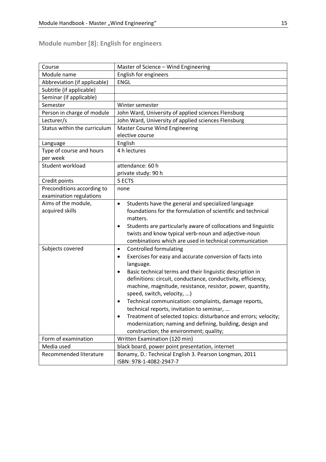# **Module number [8]: English for engineers**

| Course                                 | Master of Science - Wind Engineering                                                                                                                                                                                                                                                                                                                                                                                                                                                                                                                                                                                                               |
|----------------------------------------|----------------------------------------------------------------------------------------------------------------------------------------------------------------------------------------------------------------------------------------------------------------------------------------------------------------------------------------------------------------------------------------------------------------------------------------------------------------------------------------------------------------------------------------------------------------------------------------------------------------------------------------------------|
| Module name                            | English for engineers                                                                                                                                                                                                                                                                                                                                                                                                                                                                                                                                                                                                                              |
| Abbreviation (if applicable)           | <b>ENGL</b>                                                                                                                                                                                                                                                                                                                                                                                                                                                                                                                                                                                                                                        |
| Subtitle (if applicable)               |                                                                                                                                                                                                                                                                                                                                                                                                                                                                                                                                                                                                                                                    |
| Seminar (if applicable)                |                                                                                                                                                                                                                                                                                                                                                                                                                                                                                                                                                                                                                                                    |
| Semester                               | Winter semester                                                                                                                                                                                                                                                                                                                                                                                                                                                                                                                                                                                                                                    |
| Person in charge of module             | John Ward, University of applied sciences Flensburg                                                                                                                                                                                                                                                                                                                                                                                                                                                                                                                                                                                                |
| Lecturer/s                             | John Ward, University of applied sciences Flensburg                                                                                                                                                                                                                                                                                                                                                                                                                                                                                                                                                                                                |
| Status within the curriculum           | <b>Master Course Wind Engineering</b>                                                                                                                                                                                                                                                                                                                                                                                                                                                                                                                                                                                                              |
|                                        | elective course                                                                                                                                                                                                                                                                                                                                                                                                                                                                                                                                                                                                                                    |
| Language                               | English                                                                                                                                                                                                                                                                                                                                                                                                                                                                                                                                                                                                                                            |
| Type of course and hours               | 4 h lectures                                                                                                                                                                                                                                                                                                                                                                                                                                                                                                                                                                                                                                       |
| per week                               |                                                                                                                                                                                                                                                                                                                                                                                                                                                                                                                                                                                                                                                    |
| Student workload                       | attendance: 60 h                                                                                                                                                                                                                                                                                                                                                                                                                                                                                                                                                                                                                                   |
|                                        | private study: 90 h                                                                                                                                                                                                                                                                                                                                                                                                                                                                                                                                                                                                                                |
| Credit points                          | 5 ECTS                                                                                                                                                                                                                                                                                                                                                                                                                                                                                                                                                                                                                                             |
| Preconditions according to             | none                                                                                                                                                                                                                                                                                                                                                                                                                                                                                                                                                                                                                                               |
| examination regulations                |                                                                                                                                                                                                                                                                                                                                                                                                                                                                                                                                                                                                                                                    |
| Aims of the module,<br>acquired skills | Students have the general and specialized language<br>$\bullet$<br>foundations for the formulation of scientific and technical<br>matters.<br>Students are particularly aware of collocations and linguistic<br>$\bullet$<br>twists and know typical verb-noun and adjective-noun<br>combinations which are used in technical communication                                                                                                                                                                                                                                                                                                        |
| Subjects covered                       | <b>Controlled formulating</b><br>$\bullet$<br>Exercises for easy and accurate conversion of facts into<br>$\bullet$<br>language.<br>Basic technical terms and their linguistic description in<br>٠<br>definitions: circuit, conductance, conductivity, efficiency,<br>machine, magnitude, resistance, resistor, power, quantity,<br>speed, switch, velocity, )<br>Technical communication: complaints, damage reports,<br>technical reports, invitation to seminar,<br>Treatment of selected topics: disturbance and errors; velocity;<br>٠<br>modernization; naming and defining, building, design and<br>construction; the environment; quality; |
| Form of examination                    | Written Examination (120 min)                                                                                                                                                                                                                                                                                                                                                                                                                                                                                                                                                                                                                      |
| Media used                             | black board, power point presentation, internet                                                                                                                                                                                                                                                                                                                                                                                                                                                                                                                                                                                                    |
| Recommended literature                 | Bonamy, D.: Technical English 3. Pearson Longman, 2011<br>ISBN: 978-1-4082-2947-7                                                                                                                                                                                                                                                                                                                                                                                                                                                                                                                                                                  |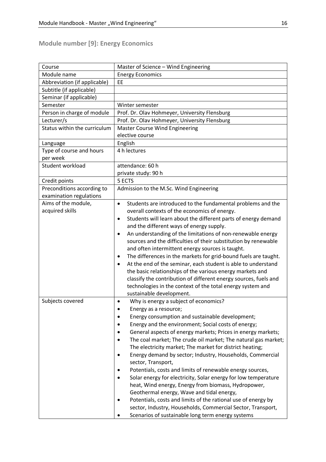#### **Module number [9]: Energy Economics**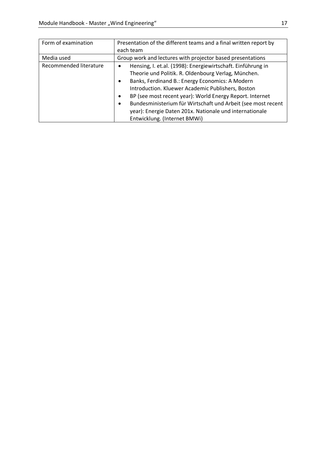| Form of examination    | Presentation of the different teams and a final written report by     |
|------------------------|-----------------------------------------------------------------------|
|                        | each team                                                             |
| Media used             | Group work and lectures with projector based presentations            |
| Recommended literature | Hensing, I. et.al. (1998): Energiewirtschaft. Einführung in           |
|                        | Theorie und Politik. R. Oldenbourg Verlag, München.                   |
|                        | Banks, Ferdinand B.: Energy Economics: A Modern<br>$\bullet$          |
|                        | Introduction. Kluewer Academic Publishers, Boston                     |
|                        | BP (see most recent year): World Energy Report. Internet<br>$\bullet$ |
|                        | Bundesministerium für Wirtschaft und Arbeit (see most recent<br>٠     |
|                        | year): Energie Daten 201x. Nationale und internationale               |
|                        | Entwicklung. (Internet BMWi)                                          |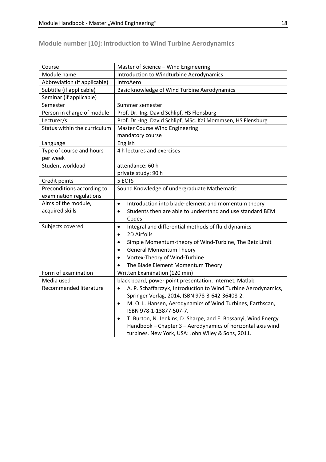# **Module number [10]: Introduction to Wind Turbine Aerodynamics**

| Course                       | Master of Science - Wind Engineering                                        |
|------------------------------|-----------------------------------------------------------------------------|
| Module name                  | Introduction to Windturbine Aerodynamics                                    |
| Abbreviation (if applicable) | IntroAero                                                                   |
| Subtitle (if applicable)     | Basic knowledge of Wind Turbine Aerodynamics                                |
| Seminar (if applicable)      |                                                                             |
| Semester                     | Summer semester                                                             |
| Person in charge of module   | Prof. Dr.-Ing. David Schlipf, HS Flensburg                                  |
| Lecturer/s                   | Prof. Dr.-Ing. David Schlipf, MSc. Kai Mommsen, HS Flensburg                |
| Status within the curriculum | <b>Master Course Wind Engineering</b>                                       |
|                              | mandatory course                                                            |
| Language                     | English                                                                     |
| Type of course and hours     | 4 h lectures and exercises                                                  |
| per week                     |                                                                             |
| Student workload             | attendance: 60 h                                                            |
|                              | private study: 90 h                                                         |
| Credit points                | 5 ECTS                                                                      |
| Preconditions according to   | Sound Knowledge of undergraduate Mathematic                                 |
| examination regulations      |                                                                             |
| Aims of the module,          | Introduction into blade-element and momentum theory<br>$\bullet$            |
| acquired skills              | Students then are able to understand and use standard BEM<br>$\bullet$      |
|                              | Codes                                                                       |
| Subjects covered             | Integral and differential methods of fluid dynamics<br>$\bullet$            |
|                              | 2D Airfoils<br>$\bullet$                                                    |
|                              | Simple Momentum-theory of Wind-Turbine, The Betz Limit<br>$\bullet$         |
|                              | <b>General Momentum Theory</b><br>$\bullet$                                 |
|                              | Vortex-Theory of Wind-Turbine<br>$\bullet$                                  |
|                              | The Blade Element Momentum Theory                                           |
| Form of examination          | Written Examination (120 min)                                               |
| Media used                   | black board, power point presentation, internet, Matlab                     |
| Recommended literature       | A. P. Schaffarczyk, Introduction to Wind Turbine Aerodynamics,<br>$\bullet$ |
|                              | Springer Verlag, 2014, ISBN 978-3-642-36408-2.                              |
|                              | M. O. L. Hansen, Aerodynamics of Wind Turbines, Earthscan,<br>$\bullet$     |
|                              | ISBN 978-1-13877-507-7.                                                     |
|                              | T. Burton, N. Jenkins, D. Sharpe, and E. Bossanyi, Wind Energy<br>$\bullet$ |
|                              | Handbook - Chapter 3 - Aerodynamics of horizontal axis wind                 |
|                              | turbines. New York, USA: John Wiley & Sons, 2011.                           |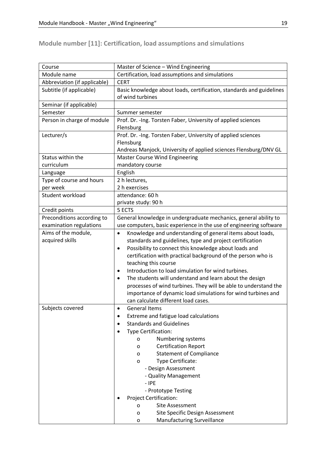| Course                       | Master of Science - Wind Engineering                                   |
|------------------------------|------------------------------------------------------------------------|
| Module name                  | Certification, load assumptions and simulations                        |
| Abbreviation (if applicable) | <b>CERT</b>                                                            |
| Subtitle (if applicable)     | Basic knowledge about loads, certification, standards and guidelines   |
|                              | of wind turbines                                                       |
| Seminar (if applicable)      |                                                                        |
| Semester                     | Summer semester                                                        |
| Person in charge of module   | Prof. Dr. - Ing. Torsten Faber, University of applied sciences         |
|                              | Flensburg                                                              |
| Lecturer/s                   | Prof. Dr. - Ing. Torsten Faber, University of applied sciences         |
|                              | Flensburg                                                              |
|                              | Andreas Manjock, University of applied sciences Flensburg/DNV GL       |
| Status within the            | <b>Master Course Wind Engineering</b>                                  |
| curriculum                   | mandatory course                                                       |
| Language                     | English                                                                |
| Type of course and hours     | 2 h lectures,                                                          |
| per week                     | 2 h exercises                                                          |
| Student workload             | attendance: 60 h                                                       |
|                              | private study: 90 h                                                    |
| Credit points                | 5 ECTS                                                                 |
| Preconditions according to   | General knowledge in undergraduate mechanics, general ability to       |
| examination regulations      | use computers, basic experience in the use of engineering software     |
| Aims of the module,          | Knowledge and understanding of general items about loads,<br>$\bullet$ |
| acquired skills              | standards and guidelines, type and project certification               |
|                              | Possibility to connect this knowledge about loads and<br>$\bullet$     |
|                              | certification with practical background of the person who is           |
|                              | teaching this course                                                   |
|                              | Introduction to load simulation for wind turbines.<br>$\bullet$        |
|                              | The students will understand and learn about the design<br>$\bullet$   |
|                              | processes of wind turbines. They will be able to understand the        |
|                              | importance of dynamic load simulations for wind turbines and           |
|                              | can calculate different load cases.                                    |
| Subjects covered             | General Items<br>$\bullet$                                             |
|                              | Extreme and fatigue load calculations                                  |
|                              | <b>Standards and Guidelines</b>                                        |
|                              | Type Certification:                                                    |
|                              | Numbering systems<br>0                                                 |
|                              | <b>Certification Report</b><br>0                                       |
|                              | <b>Statement of Compliance</b><br>0                                    |
|                              | Type Certificate:<br>o                                                 |
|                              | - Design Assessment                                                    |
|                              | - Quality Management                                                   |
|                              | $-$ IPE                                                                |
|                              | - Prototype Testing                                                    |
|                              | <b>Project Certification:</b>                                          |
|                              | Site Assessment<br>o                                                   |
|                              | Site Specific Design Assessment<br>о                                   |
|                              | <b>Manufacturing Surveillance</b><br>o                                 |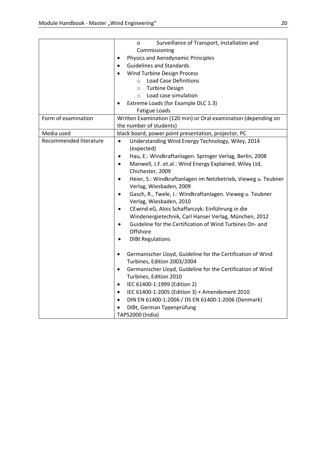|                        | Surveillance of Transport, Installation and<br>o                                                      |
|------------------------|-------------------------------------------------------------------------------------------------------|
|                        | Commissioning                                                                                         |
|                        | Physics and Aerodynamic Principles<br>٠                                                               |
|                        | <b>Guidelines and Standards</b><br>$\bullet$                                                          |
|                        | <b>Wind Turbine Design Process</b><br>$\bullet$                                                       |
|                        | <b>Load Case Definitions</b><br>$\circ$                                                               |
|                        | <b>Turbine Design</b><br>$\circ$                                                                      |
|                        | Load case simulation<br>$\circ$                                                                       |
|                        | Extreme Loads (for Example DLC 1.3)<br>٠                                                              |
|                        | Fatigue Loads                                                                                         |
| Form of examination    | Written Examination (120 min) or Oral examination (depending on                                       |
|                        | the number of students)                                                                               |
| Media used             | black board, power point presentation, projector, PC                                                  |
| Recommended literature | Understanding Wind Energy Technology, Wiley, 2014<br>$\bullet$                                        |
|                        | (expected)                                                                                            |
|                        | Hau, E.: Windkraftanlagen. Springer Verlag, Berlin, 2008<br>$\bullet$                                 |
|                        | Manwell, J.F. et.al.: Wind Energy Explained. Wiley Ltd,<br>$\bullet$                                  |
|                        | Chichester, 2009                                                                                      |
|                        | Heier, S.: Windkraftanlagen im Netzbetrieb, Vieweg u. Teubner<br>$\bullet$<br>Verlag, Wiesbaden, 2009 |
|                        | Gasch, R., Twele, J.: Windkraftanlagen. Vieweg u. Teubner<br>$\bullet$                                |
|                        | Verlag, Wiesbaden, 2010                                                                               |
|                        | CEwind eG, Alois Schaffarczyk: Einführung in die<br>$\bullet$                                         |
|                        | Windenergietechnik, Carl Hanser Verlag, München, 2012                                                 |
|                        | Guideline for the Certification of Wind Turbines On- and<br>$\bullet$                                 |
|                        | Offshore                                                                                              |
|                        | <b>DIBt Regulations</b><br>$\bullet$                                                                  |
|                        |                                                                                                       |
|                        | Germanischer Lloyd, Guideline for the Certification of Wind<br>$\bullet$                              |
|                        | Turbines, Edition 2003/2004                                                                           |
|                        | Germanischer Lloyd, Guideline for the Certification of Wind<br>$\bullet$                              |
|                        | Turbines, Edition 2010                                                                                |
|                        | IEC 61400-1:1999 (Edition 2)<br>$\bullet$                                                             |
|                        | IEC 61400-1:2005 (Edition 3) + Amendement 2010<br>$\bullet$                                           |
|                        | DIN EN 61400-1:2006 / DS EN 61400-1:2006 (Denmark)<br>$\bullet$                                       |
|                        | DIBt, German Typenprüfung                                                                             |
|                        | TAPS2000 (India)                                                                                      |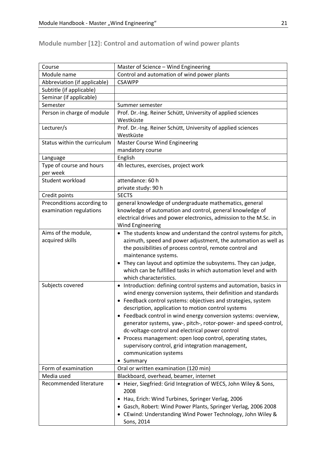# **Module number [12]: Control and automation of wind power plants**

| Course                               | Master of Science - Wind Engineering                                                                                |
|--------------------------------------|---------------------------------------------------------------------------------------------------------------------|
| Module name                          | Control and automation of wind power plants                                                                         |
| Abbreviation (if applicable)         | <b>CSAWPP</b>                                                                                                       |
| Subtitle (if applicable)             |                                                                                                                     |
| Seminar (if applicable)              |                                                                                                                     |
| Semester                             | Summer semester                                                                                                     |
| Person in charge of module           | Prof. Dr.-Ing. Reiner Schütt, University of applied sciences<br>Westküste                                           |
| Lecturer/s                           | Prof. Dr.-Ing. Reiner Schütt, University of applied sciences<br>Westküste                                           |
| Status within the curriculum         | <b>Master Course Wind Engineering</b><br>mandatory course                                                           |
| Language                             | English                                                                                                             |
| Type of course and hours<br>per week | 4h lectures, exercises, project work                                                                                |
| Student workload                     | attendance: 60 h                                                                                                    |
|                                      | private study: 90 h                                                                                                 |
| Credit points                        | <b>5ECTS</b>                                                                                                        |
| Preconditions according to           | general knowledge of undergraduate mathematics, general                                                             |
| examination regulations              | knowledge of automation and control, general knowledge of                                                           |
|                                      | electrical drives and power electronics, admission to the M.Sc. in                                                  |
|                                      | <b>Wind Engineering</b>                                                                                             |
| Aims of the module,                  | • The students know and understand the control systems for pitch,                                                   |
| acquired skills                      | azimuth, speed and power adjustment, the automation as well as                                                      |
|                                      | the possibilities of process control, remote control and                                                            |
|                                      | maintenance systems.                                                                                                |
|                                      | • They can layout and optimize the subsystems. They can judge,                                                      |
|                                      | which can be fulfilled tasks in which automation level and with                                                     |
|                                      | which characteristics.                                                                                              |
| Subjects covered                     | • Introduction: defining control systems and automation, basics in                                                  |
|                                      | wind energy conversion systems, their definition and standards                                                      |
|                                      | • Feedback control systems: objectives and strategies, system                                                       |
|                                      | description, application to motion control systems                                                                  |
|                                      | • Feedback control in wind energy conversion systems: overview,                                                     |
|                                      | generator systems, yaw-, pitch-, rotor-power- and speed-control,<br>dc-voltage-control and electrical power control |
|                                      | • Process management: open loop control, operating states,                                                          |
|                                      | supervisory control, grid integration management,                                                                   |
|                                      | communication systems                                                                                               |
|                                      | • Summary                                                                                                           |
| Form of examination                  | Oral or written examination (120 min)                                                                               |
| Media used                           | Blackboard, overhead, beamer, internet                                                                              |
| Recommended literature               | • Heier, Siegfried: Grid Integration of WECS, John Wiley & Sons,                                                    |
|                                      | 2008                                                                                                                |
|                                      | • Hau, Erich: Wind Turbines, Springer Verlag, 2006                                                                  |
|                                      | • Gasch, Robert: Wind Power Plants, Springer Verlag, 2006 2008                                                      |
|                                      | • CEwind: Understanding Wind Power Technology, John Wiley &                                                         |
|                                      | Sons, 2014                                                                                                          |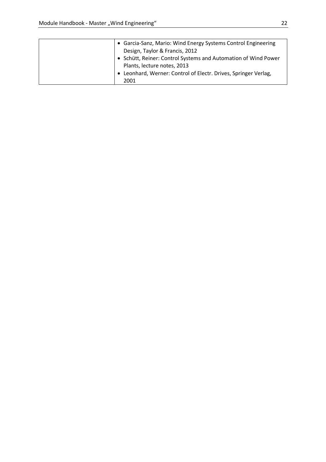| • Garcia-Sanz, Mario: Wind Energy Systems Control Engineering<br>Design, Taylor & Francis, 2012<br>• Schütt, Reiner: Control Systems and Automation of Wind Power<br>Plants, lecture notes, 2013<br>• Leonhard, Werner: Control of Electr. Drives, Springer Verlag, |
|---------------------------------------------------------------------------------------------------------------------------------------------------------------------------------------------------------------------------------------------------------------------|
| 2001                                                                                                                                                                                                                                                                |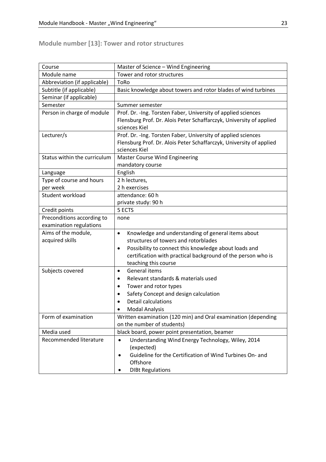**Module number [13]: Tower and rotor structures**

| Course                       | Master of Science - Wind Engineering                                |
|------------------------------|---------------------------------------------------------------------|
| Module name                  | Tower and rotor structures                                          |
| Abbreviation (if applicable) | ToRo                                                                |
| Subtitle (if applicable)     | Basic knowledge about towers and rotor blades of wind turbines      |
| Seminar (if applicable)      |                                                                     |
| Semester                     | Summer semester                                                     |
| Person in charge of module   | Prof. Dr. - Ing. Torsten Faber, University of applied sciences      |
|                              | Flensburg Prof. Dr. Alois Peter Schaffarczyk, University of applied |
|                              | sciences Kiel                                                       |
| Lecturer/s                   | Prof. Dr. - Ing. Torsten Faber, University of applied sciences      |
|                              | Flensburg Prof. Dr. Alois Peter Schaffarczyk, University of applied |
|                              | sciences Kiel                                                       |
| Status within the curriculum | <b>Master Course Wind Engineering</b>                               |
|                              | mandatory course                                                    |
| Language                     | English                                                             |
| Type of course and hours     | 2 h lectures,                                                       |
| per week                     | 2 h exercises                                                       |
| Student workload             | attendance: 60 h                                                    |
|                              | private study: 90 h                                                 |
| Credit points                | 5 ECTS                                                              |
| Preconditions according to   | none                                                                |
| examination regulations      |                                                                     |
| Aims of the module,          | Knowledge and understanding of general items about<br>$\bullet$     |
| acquired skills              | structures of towers and rotorblades                                |
|                              | Possibility to connect this knowledge about loads and<br>$\bullet$  |
|                              | certification with practical background of the person who is        |
|                              | teaching this course                                                |
| Subjects covered             | General items<br>$\bullet$                                          |
|                              | Relevant standards & materials used<br>$\bullet$                    |
|                              | Tower and rotor types<br>$\bullet$                                  |
|                              | Safety Concept and design calculation<br>$\bullet$                  |
|                              | Detail calculations                                                 |
|                              | <b>Modal Analysis</b>                                               |
| Form of examination          | Written examination (120 min) and Oral examination (depending       |
|                              | on the number of students)                                          |
| Media used                   | black board, power point presentation, beamer                       |
| Recommended literature       | Understanding Wind Energy Technology, Wiley, 2014<br>$\bullet$      |
|                              | (expected)                                                          |
|                              | Guideline for the Certification of Wind Turbines On- and            |
|                              | Offshore                                                            |
|                              | <b>DIBt Regulations</b>                                             |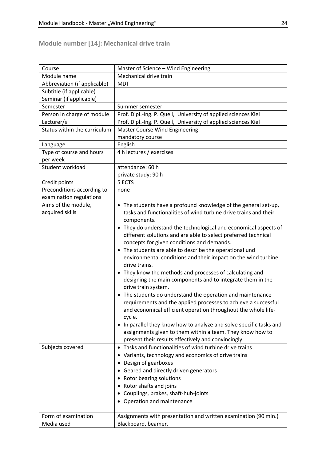**Module number [14]: Mechanical drive train**

| Course                       | Master of Science - Wind Engineering                                |
|------------------------------|---------------------------------------------------------------------|
| Module name                  | Mechanical drive train                                              |
| Abbreviation (if applicable) | <b>MDT</b>                                                          |
| Subtitle (if applicable)     |                                                                     |
| Seminar (if applicable)      |                                                                     |
| Semester                     | Summer semester                                                     |
| Person in charge of module   | Prof. Dipl.-Ing. P. Quell, University of applied sciences Kiel      |
| Lecturer/s                   | Prof. Dipl.-Ing. P. Quell, University of applied sciences Kiel      |
| Status within the curriculum | <b>Master Course Wind Engineering</b>                               |
|                              | mandatory course                                                    |
| Language                     | English                                                             |
| Type of course and hours     | 4 h lectures / exercises                                            |
| per week                     |                                                                     |
| Student workload             | attendance: 60 h                                                    |
|                              | private study: 90 h                                                 |
| Credit points                | 5 ECTS                                                              |
| Preconditions according to   | none                                                                |
| examination regulations      |                                                                     |
| Aims of the module,          | • The students have a profound knowledge of the general set-up,     |
| acquired skills              | tasks and functionalities of wind turbine drive trains and their    |
|                              | components.                                                         |
|                              | • They do understand the technological and economical aspects of    |
|                              | different solutions and are able to select preferred technical      |
|                              | concepts for given conditions and demands.                          |
|                              | • The students are able to describe the operational und             |
|                              | environmental conditions and their impact on the wind turbine       |
|                              | drive trains.                                                       |
|                              | • They know the methods and processes of calculating and            |
|                              | designing the main components and to integrate them in the          |
|                              | drive train system.                                                 |
|                              | • The students do understand the operation and maintenance          |
|                              | requirements and the applied processes to achieve a successful      |
|                              | and economical efficient operation throughout the whole life-       |
|                              | cycle.                                                              |
|                              | • In parallel they know how to analyze and solve specific tasks and |
|                              | assignments given to them within a team. They know how to           |
|                              | present their results effectively and convincingly.                 |
| Subjects covered             | • Tasks and functionalities of wind turbine drive trains            |
|                              |                                                                     |
|                              | • Variants, technology and economics of drive trains                |
|                              | • Design of gearboxes                                               |
|                              | • Geared and directly driven generators                             |
|                              | • Rotor bearing solutions                                           |
|                              | • Rotor shafts and joins                                            |
|                              | • Couplings, brakes, shaft-hub-joints                               |
|                              | • Operation and maintenance                                         |
|                              |                                                                     |
| Form of examination          | Assignments with presentation and written examination (90 min.)     |
| Media used                   | Blackboard, beamer,                                                 |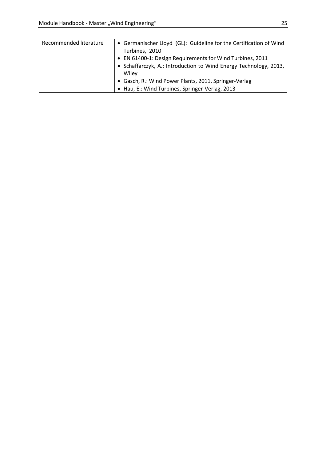| Recommended literature | • Germanischer Lloyd (GL): Guideline for the Certification of Wind |
|------------------------|--------------------------------------------------------------------|
|                        | Turbines, 2010                                                     |
|                        | • EN 61400-1: Design Requirements for Wind Turbines, 2011          |
|                        | • Schaffarczyk, A.: Introduction to Wind Energy Technology, 2013,  |
|                        | Wiley                                                              |
|                        | • Gasch, R.: Wind Power Plants, 2011, Springer-Verlag              |
|                        | • Hau, E.: Wind Turbines, Springer-Verlag, 2013                    |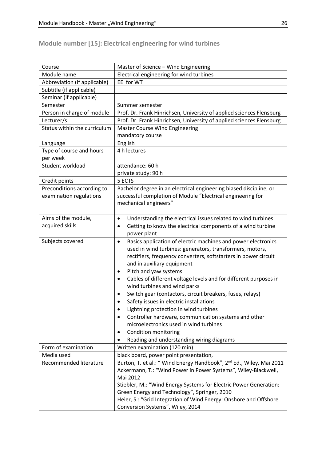# **Module number [15]: Electrical engineering for wind turbines**

| Course                       | Master of Science - Wind Engineering                                             |
|------------------------------|----------------------------------------------------------------------------------|
| Module name                  | Electrical engineering for wind turbines                                         |
| Abbreviation (if applicable) | EE for WT                                                                        |
| Subtitle (if applicable)     |                                                                                  |
| Seminar (if applicable)      |                                                                                  |
| Semester                     | Summer semester                                                                  |
| Person in charge of module   | Prof. Dr. Frank Hinrichsen, University of applied sciences Flensburg             |
| Lecturer/s                   | Prof. Dr. Frank Hinrichsen, University of applied sciences Flensburg             |
| Status within the curriculum | <b>Master Course Wind Engineering</b>                                            |
|                              | mandatory course                                                                 |
| Language                     | English                                                                          |
| Type of course and hours     | 4 h lectures                                                                     |
| per week                     |                                                                                  |
| Student workload             | attendance: 60 h                                                                 |
|                              | private study: 90 h                                                              |
| Credit points                | 5 ECTS                                                                           |
| Preconditions according to   | Bachelor degree in an electrical engineering biased discipline, or               |
| examination regulations      | successful completion of Module "Electrical engineering for                      |
|                              | mechanical engineers"                                                            |
|                              |                                                                                  |
| Aims of the module,          | Understanding the electrical issues related to wind turbines<br>$\bullet$        |
| acquired skills              | Getting to know the electrical components of a wind turbine<br>$\bullet$         |
|                              | power plant                                                                      |
| Subjects covered             | Basics application of electric machines and power electronics<br>$\bullet$       |
|                              | used in wind turbines: generators, transformers, motors,                         |
|                              | rectifiers, frequency converters, softstarters in power circuit                  |
|                              | and in auxiliary equipment                                                       |
|                              | Pitch and yaw systems<br>$\bullet$                                               |
|                              | Cables of different voltage levels and for different purposes in<br>$\bullet$    |
|                              | wind turbines and wind parks                                                     |
|                              | Switch gear (contactors, circuit breakers, fuses, relays)<br>٠                   |
|                              | Safety issues in electric installations                                          |
|                              | Lightning protection in wind turbines                                            |
|                              | Controller hardware, communication systems and other                             |
|                              | microelectronics used in wind turbines                                           |
|                              | Condition monitoring<br>٠                                                        |
|                              | Reading and understanding wiring diagrams                                        |
| Form of examination          | Written examination (120 min)                                                    |
| Media used                   | black board, power point presentation,                                           |
| Recommended literature       | Burton, T. et al.: " Wind Energy Handbook", 2 <sup>nd</sup> Ed., Wiley, Mai 2011 |
|                              | Ackermann, T.: "Wind Power in Power Systems", Wiley-Blackwell,                   |
|                              | Mai 2012                                                                         |
|                              | Stiebler, M.: "Wind Energy Systems for Electric Power Generation:                |
|                              | Green Energy and Technology", Springer, 2010                                     |
|                              | Heier, S.: "Grid Integration of Wind Energy: Onshore and Offshore                |
|                              | Conversion Systems", Wiley, 2014                                                 |
|                              |                                                                                  |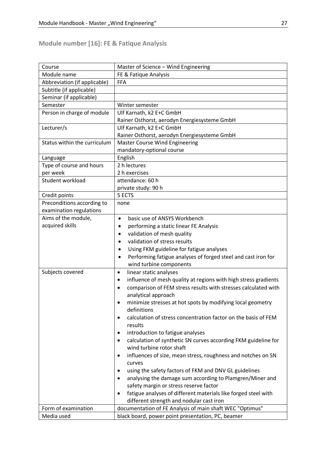# **Module number [16]: FE & Fatique Analysis**

| Course                       | Master of Science - Wind Engineering                                         |
|------------------------------|------------------------------------------------------------------------------|
| Module name                  | FE & Fatique Analysis                                                        |
| Abbreviation (if applicable) | <b>FFA</b>                                                                   |
| Subtitle (if applicable)     |                                                                              |
| Seminar (if applicable)      |                                                                              |
| Semester                     | Winter semester                                                              |
| Person in charge of module   | Ulf Karnath, k2 E+C GmbH                                                     |
|                              | Rainer Osthorst, aerodyn Energiesysteme GmbH                                 |
| Lecturer/s                   | Ulf Karnath, k2 E+C GmbH                                                     |
|                              | Rainer Osthorst, aerodyn Energiesysteme GmbH                                 |
| Status within the curriculum | <b>Master Course Wind Engineering</b>                                        |
|                              | mandatory-optional course                                                    |
| Language                     | English                                                                      |
| Type of course and hours     | 2 h lectures                                                                 |
| per week                     | 2 h exercises                                                                |
| Student workload             | attendance: 60 h                                                             |
|                              | private study: 90 h                                                          |
| Credit points                | 5 ECTS                                                                       |
| Preconditions according to   | none                                                                         |
| examination regulations      |                                                                              |
| Aims of the module,          | basic use of ANSYS Workbench<br>$\bullet$                                    |
| acquired skills              | performing a static linear FE Analysis<br>$\bullet$                          |
|                              | validation of mesh quality<br>$\bullet$                                      |
|                              | validation of stress results<br>$\bullet$                                    |
|                              | Using FKM guideline for fatigue analyses<br>$\bullet$                        |
|                              | Performing fatigue analyses of forged steel and cast iron for<br>$\bullet$   |
|                              | wind turbine components                                                      |
| Subjects covered             | linear static analyses<br>$\bullet$                                          |
|                              | influence of mesh quality at regions with high stress gradients<br>$\bullet$ |
|                              | comparison of FEM stress results with stresses calculated with<br>$\bullet$  |
|                              | analytical approach                                                          |
|                              | minimize stresses at hot spots by modifying local geometry<br>$\bullet$      |
|                              | definitions                                                                  |
|                              | calculation of stress concentration factor on the basis of FEM               |
|                              | results                                                                      |
|                              | introduction to fatigue analyses<br>٠                                        |
|                              | calculation of synthetic SN curves according FKM guideline for<br>$\bullet$  |
|                              | wind turbine rotor shaft                                                     |
|                              | influences of size, mean stress, roughness and notches on SN<br>٠            |
|                              | curves                                                                       |
|                              | using the safety factors of FKM and DNV GL guidelines<br>٠                   |
|                              | analysing the damage sum according to Plamgren/Miner and<br>$\bullet$        |
|                              | safety margin or stress reserve factor                                       |
|                              | fatigue analyses of different materials like forged steel with<br>$\bullet$  |
|                              | different strength and nodular cast iron                                     |
| Form of examination          | documentation of FE Analysis of main shaft WEC "Optimus"                     |
| Media used                   | black board, power point presentation, PC, beamer                            |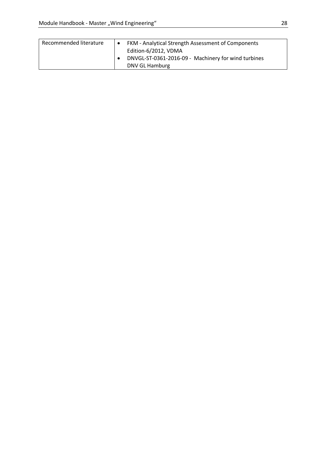| Recommended literature | FKM - Analytical Strength Assessment of Components<br>Edition-6/2012, VDMA |
|------------------------|----------------------------------------------------------------------------|
|                        | DNVGL-ST-0361-2016-09 - Machinery for wind turbines<br>DNV GL Hamburg      |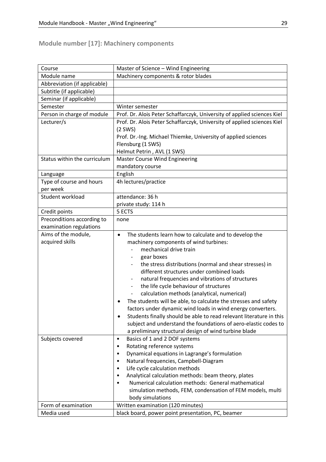# **Module number [17]: Machinery components**

| Course                       | Master of Science - Wind Engineering                                     |
|------------------------------|--------------------------------------------------------------------------|
| Module name                  | Machinery components & rotor blades                                      |
| Abbreviation (if applicable) |                                                                          |
| Subtitle (if applicable)     |                                                                          |
| Seminar (if applicable)      |                                                                          |
| Semester                     | Winter semester                                                          |
| Person in charge of module   | Prof. Dr. Alois Peter Schaffarczyk, University of applied sciences Kiel  |
| Lecturer/s                   | Prof. Dr. Alois Peter Schaffarczyk, University of applied sciences Kiel  |
|                              | $(2$ SWS)                                                                |
|                              | Prof. Dr.-Ing. Michael Thiemke, University of applied sciences           |
|                              | Flensburg (1 SWS)                                                        |
|                              | Helmut Petrin, AVL (1 SWS)                                               |
| Status within the curriculum | <b>Master Course Wind Engineering</b>                                    |
|                              | mandatory course                                                         |
| Language                     | English                                                                  |
| Type of course and hours     | 4h lectures/practice                                                     |
| per week                     |                                                                          |
| Student workload             | attendance: 36 h                                                         |
|                              | private study: 114 h                                                     |
| Credit points                | 5 ECTS                                                                   |
| Preconditions according to   | none                                                                     |
| examination regulations      |                                                                          |
| Aims of the module,          | The students learn how to calculate and to develop the<br>$\bullet$      |
| acquired skills              | machinery components of wind turbines:                                   |
|                              | mechanical drive train                                                   |
|                              | gear boxes                                                               |
|                              | the stress distributions (normal and shear stresses) in                  |
|                              | different structures under combined loads                                |
|                              | natural frequencies and vibrations of structures                         |
|                              | the life cycle behaviour of structures                                   |
|                              | calculation methods (analytical, numerical)                              |
|                              | The students will be able, to calculate the stresses and safety          |
|                              | factors under dynamic wind loads in wind energy converters.              |
|                              | Students finally should be able to read relevant literature in this<br>٠ |
|                              | subject and understand the foundations of aero-elastic codes to          |
|                              | a preliminary structural design of wind turbine blade                    |
| Subjects covered             | Basics of 1 and 2 DOF systems<br>$\bullet$                               |
|                              | Rotating reference systems<br>٠                                          |
|                              | Dynamical equations in Lagrange's formulation<br>$\bullet$               |
|                              | Natural frequencies, Campbell-Diagram<br>٠                               |
|                              | Life cycle calculation methods<br>$\bullet$                              |
|                              | Analytical calculation methods: beam theory, plates<br>٠                 |
|                              | Numerical calculation methods: General mathematical<br>٠                 |
|                              | simulation methods, FEM, condensation of FEM models, multi               |
|                              | body simulations                                                         |
| Form of examination          | Written examination (120 minutes)                                        |
| Media used                   | black board, power point presentation, PC, beamer                        |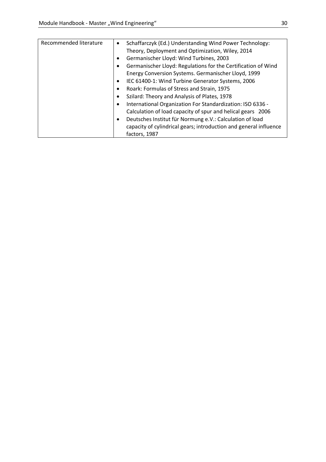| Recommended literature | Schaffarczyk (Ed.) Understanding Wind Power Technology:<br>$\bullet$  |
|------------------------|-----------------------------------------------------------------------|
|                        | Theory, Deployment and Optimization, Wiley, 2014                      |
|                        | Germanischer Lloyd: Wind Turbines, 2003<br>$\bullet$                  |
|                        | Germanischer Lloyd: Regulations for the Certification of Wind         |
|                        | Energy Conversion Systems. Germanischer Lloyd, 1999                   |
|                        | IEC 61400-1: Wind Turbine Generator Systems, 2006<br>٠                |
|                        | Roark: Formulas of Stress and Strain, 1975<br>٠                       |
|                        | Szilard: Theory and Analysis of Plates, 1978<br>٠                     |
|                        | International Organization For Standardization: ISO 6336 -            |
|                        | Calculation of load capacity of spur and helical gears 2006           |
|                        | Deutsches Institut für Normung e.V.: Calculation of load<br>$\bullet$ |
|                        | capacity of cylindrical gears; introduction and general influence     |
|                        | factors, 1987                                                         |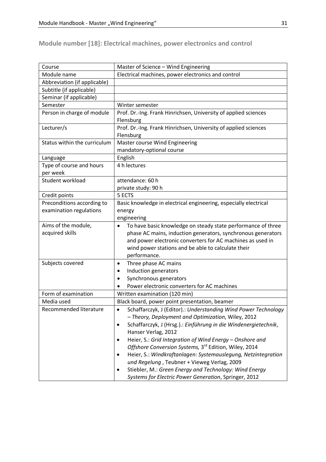**Module number [18]: Electrical machines, power electronics and control** 

| Course                       | Master of Science - Wind Engineering                                      |
|------------------------------|---------------------------------------------------------------------------|
| Module name                  | Electrical machines, power electronics and control                        |
| Abbreviation (if applicable) |                                                                           |
| Subtitle (if applicable)     |                                                                           |
| Seminar (if applicable)      |                                                                           |
| Semester                     | Winter semester                                                           |
| Person in charge of module   | Prof. Dr.-Ing. Frank Hinrichsen, University of applied sciences           |
|                              | Flensburg                                                                 |
| Lecturer/s                   | Prof. Dr.-Ing. Frank Hinrichsen, University of applied sciences           |
|                              | Flensburg                                                                 |
| Status within the curriculum | Master course Wind Engineering                                            |
|                              | mandatory-optional course                                                 |
| Language                     | English                                                                   |
| Type of course and hours     | 4 h lectures                                                              |
| per week                     |                                                                           |
| Student workload             | attendance: 60 h                                                          |
|                              | private study: 90 h                                                       |
| Credit points                | 5 ECTS                                                                    |
| Preconditions according to   | Basic knowledge in electrical engineering, especially electrical          |
| examination regulations      | energy                                                                    |
|                              | engineering                                                               |
| Aims of the module,          | To have basic knowledge on steady state performance of three<br>$\bullet$ |
| acquired skills              | phase AC mains, induction generators, synchronous generators              |
|                              | and power electronic converters for AC machines as used in                |
|                              | wind power stations and be able to calculate their                        |
|                              | performance.                                                              |
| Subjects covered             | Three phase AC mains<br>$\bullet$                                         |
|                              | Induction generators<br>$\bullet$                                         |
|                              | Synchronous generators<br>$\bullet$                                       |
|                              | Power electronic converters for AC machines                               |
| Form of examination          | Written examination (120 min)                                             |
| Media used                   | Black board, power point presentation, beamer                             |
| Recommended literature       | Schaffarczyk, J (Editor).: Understanding Wind Power Technology            |
|                              | - Theory, Deployment and Optimization, Wiley, 2012                        |
|                              | Schaffarczyk, J (Hrsg.).: Einführung in die Windenergietechnik,           |
|                              | Hanser Verlag, 2012                                                       |
|                              | Heier, S.: Grid Integration of Wind Energy - Onshore and<br>$\bullet$     |
|                              | Offshore Conversion Systems, 3rd Edition, Wiley, 2014                     |
|                              | Heier, S.: Windkraftanlagen: Systemauslegung, Netzintegration             |
|                              | und Regelung, Teubner + Vieweg Verlag, 2009                               |
|                              | Stiebler, M.: Green Energy and Technology: Wind Energy                    |
|                              | Systems for Electric Power Generation, Springer, 2012                     |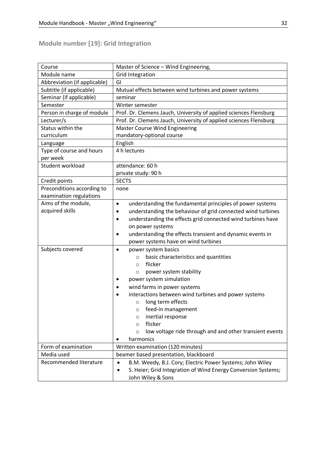| Course                       | Master of Science - Wind Engineering,                                    |
|------------------------------|--------------------------------------------------------------------------|
| Module name                  | <b>Grid Integration</b>                                                  |
| Abbreviation (if applicable) | GI                                                                       |
| Subtitle (if applicable)     | Mutual effects between wind turbines and power systems                   |
| Seminar (if applicable)      | seminar                                                                  |
| Semester                     | Winter semester                                                          |
| Person in charge of module   | Prof. Dr. Clemens Jauch, University of applied sciences Flensburg        |
| Lecturer/s                   | Prof. Dr. Clemens Jauch, University of applied sciences Flensburg        |
| Status within the            | <b>Master Course Wind Engineering</b>                                    |
| curriculum                   | mandatory-optional course                                                |
| Language                     | English                                                                  |
| Type of course and hours     | 4 h lectures                                                             |
| per week                     |                                                                          |
| Student workload             | attendance: 60 h                                                         |
|                              | private study: 90 h                                                      |
| Credit points                | <b>5ECTS</b>                                                             |
| Preconditions according to   | none                                                                     |
| examination regulations      |                                                                          |
| Aims of the module,          | understanding the fundamental principles of power systems<br>$\bullet$   |
| acquired skills              | understanding the behaviour of grid connected wind turbines<br>$\bullet$ |
|                              | understanding the effects grid connected wind turbines have<br>$\bullet$ |
|                              | on power systems                                                         |
|                              | understanding the effects transient and dynamic events in<br>$\bullet$   |
|                              | power systems have on wind turbines                                      |
| Subjects covered             | power system basics<br>$\bullet$                                         |
|                              | basic characteristics and quantities<br>$\circ$                          |
|                              | flicker<br>$\circ$                                                       |
|                              | power system stability<br>O                                              |
|                              | power system simulation                                                  |
|                              | wind farms in power systems                                              |
|                              | interactions between wind turbines and power systems                     |
|                              | long term effects<br>$\circ$                                             |
|                              | feed-in management<br>O                                                  |
|                              | inertial response<br>O                                                   |
|                              | flicker<br>$\circ$                                                       |
|                              | low voltage ride through and and other transient events<br>$\circ$       |
|                              | harmonics                                                                |
| Form of examination          | Written examination (120 minutes)                                        |
| Media used                   | beamer based presentation, blackboard                                    |
| Recommended literature       | B.M. Weedy, B.J. Cory; Electric Power Systems; John Wiley<br>$\bullet$   |
|                              | S. Heier; Grid Integration of Wind Energy Conversion Systems;            |
|                              | John Wiley & Sons                                                        |

# **Module number [19]: Grid Integration**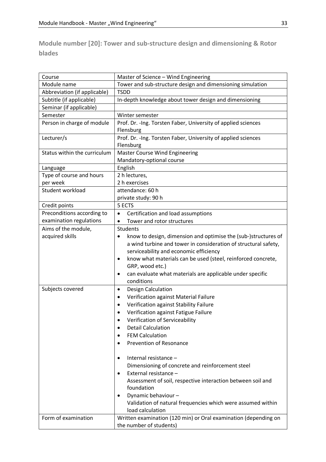**Module number [20]: Tower and sub-structure design and dimensioning & Rotor blades**

| Course                       | Master of Science - Wind Engineering                                      |
|------------------------------|---------------------------------------------------------------------------|
| Module name                  | Tower and sub-structure design and dimensioning simulation                |
| Abbreviation (if applicable) | <b>TSDD</b>                                                               |
| Subtitle (if applicable)     | In-depth knowledge about tower design and dimensioning                    |
| Seminar (if applicable)      |                                                                           |
| Semester                     | Winter semester                                                           |
| Person in charge of module   | Prof. Dr. - Ing. Torsten Faber, University of applied sciences            |
|                              | Flensburg                                                                 |
| Lecturer/s                   | Prof. Dr. - Ing. Torsten Faber, University of applied sciences            |
|                              | Flensburg                                                                 |
| Status within the curriculum | <b>Master Course Wind Engineering</b>                                     |
|                              | Mandatory-optional course                                                 |
| Language                     | English                                                                   |
| Type of course and hours     | 2 h lectures,                                                             |
| per week                     | 2 h exercises                                                             |
| Student workload             | attendance: 60 h                                                          |
|                              | private study: 90 h                                                       |
| Credit points                | 5 ECTS                                                                    |
| Preconditions according to   | Certification and load assumptions<br>$\bullet$                           |
| examination regulations      | Tower and rotor structures                                                |
| Aims of the module,          | <b>Students</b>                                                           |
| acquired skills              | know to design, dimension and optimise the (sub-)structures of<br>٠       |
|                              | a wind turbine and tower in consideration of structural safety,           |
|                              | serviceability and economic efficiency                                    |
|                              | know what materials can be used (steel, reinforced concrete,<br>$\bullet$ |
|                              | GRP, wood etc.)                                                           |
|                              | can evaluate what materials are applicable under specific<br>٠            |
|                              | conditions                                                                |
| Subjects covered             | Design Calculation<br>$\bullet$                                           |
|                              | Verification against Material Failure<br>$\bullet$                        |
|                              | Verification against Stability Failure<br>$\bullet$                       |
|                              | Verification against Fatigue Failure<br>$\bullet$                         |
|                              | Verification of Serviceability<br>$\bullet$                               |
|                              | <b>Detail Calculation</b>                                                 |
|                              | <b>FEM Calculation</b>                                                    |
|                              | <b>Prevention of Resonance</b>                                            |
|                              |                                                                           |
|                              | Internal resistance -<br>٠                                                |
|                              | Dimensioning of concrete and reinforcement steel                          |
|                              | External resistance -<br>$\bullet$                                        |
|                              | Assessment of soil, respective interaction between soil and               |
|                              | foundation                                                                |
|                              | Dynamic behaviour-<br>٠                                                   |
|                              | Validation of natural frequencies which were assumed within               |
|                              | load calculation                                                          |
| Form of examination          | Written examination (120 min) or Oral examination (depending on           |
|                              | the number of students)                                                   |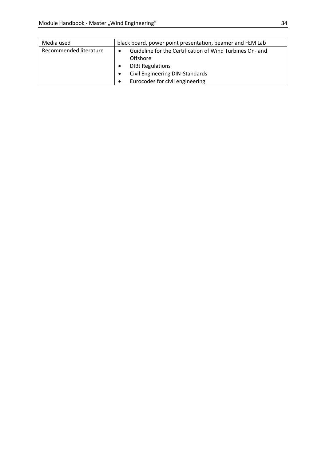| Media used             | black board, power point presentation, beamer and FEM Lab                         |
|------------------------|-----------------------------------------------------------------------------------|
| Recommended literature | Guideline for the Certification of Wind Turbines On- and<br>$\bullet$<br>Offshore |
|                        | <b>DIBt Regulations</b>                                                           |
|                        | Civil Engineering DIN-Standards                                                   |
|                        | Eurocodes for civil engineering<br>$\bullet$                                      |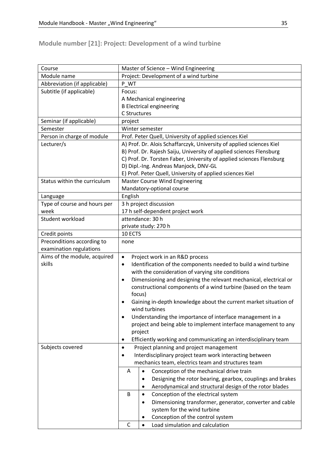# **Module number [21]: Project: Development of a wind turbine**

| Course                       | Master of Science - Wind Engineering                                           |
|------------------------------|--------------------------------------------------------------------------------|
| Module name                  | Project: Development of a wind turbine                                         |
| Abbreviation (if applicable) | P WT                                                                           |
| Subtitle (if applicable)     | Focus:                                                                         |
|                              | A Mechanical engineering                                                       |
|                              | <b>B Electrical engineering</b>                                                |
|                              | C Structures                                                                   |
| Seminar (if applicable)      | project                                                                        |
| Semester                     | Winter semester                                                                |
| Person in charge of module   | Prof. Peter Quell, University of applied sciences Kiel                         |
| Lecturer/s                   | A) Prof. Dr. Alois Schaffarczyk, University of applied sciences Kiel           |
|                              | B) Prof. Dr. Rajesh Saiju, University of applied sciences Flensburg            |
|                              | C) Prof. Dr. Torsten Faber, University of applied sciences Flensburg           |
|                              | D) Dipl.-Ing. Andreas Manjock, DNV-GL                                          |
|                              | E) Prof. Peter Quell, University of applied sciences Kiel                      |
| Status within the curriculum | <b>Master Course Wind Engineering</b>                                          |
|                              | Mandatory-optional course                                                      |
| Language                     | English                                                                        |
| Type of course and hours per | 3 h project discussion                                                         |
| week                         | 17 h self-dependent project work                                               |
| Student workload             | attendance: 30 h                                                               |
|                              | private study: 270 h                                                           |
| Credit points                | 10 ECTS                                                                        |
| Preconditions according to   | none                                                                           |
| examination regulations      |                                                                                |
| Aims of the module, acquired | Project work in an R&D process<br>$\bullet$                                    |
| skills                       | Identification of the components needed to build a wind turbine<br>$\bullet$   |
|                              | with the consideration of varying site conditions                              |
|                              | Dimensioning and designing the relevant mechanical, electrical or<br>$\bullet$ |
|                              | constructional components of a wind turbine (based on the team                 |
|                              | focus)                                                                         |
|                              | Gaining in-depth knowledge about the current market situation of<br>٠          |
|                              | wind turbines                                                                  |
|                              | Understanding the importance of interface management in a                      |
|                              | project and being able to implement interface management to any                |
|                              | project                                                                        |
|                              | Efficiently working and communicating an interdisciplinary team<br>٠           |
| Subjects covered             | Project planning and project management<br>٠                                   |
|                              | Interdisciplinary project team work interacting between<br>٠                   |
|                              | mechanics team, electrics team and structures team                             |
|                              | A<br>Conception of the mechanical drive train<br>$\bullet$                     |
|                              | Designing the rotor bearing, gearbox, couplings and brakes<br>$\bullet$        |
|                              | Aerodynamical and structural design of the rotor blades<br>٠                   |
|                              | B<br>Conception of the electrical system<br>$\bullet$                          |
|                              | Dimensioning transformer, generator, converter and cable<br>$\bullet$          |
|                              | system for the wind turbine                                                    |
|                              | Conception of the control system<br>٠                                          |
|                              | $\mathsf{C}$<br>Load simulation and calculation<br>$\bullet$                   |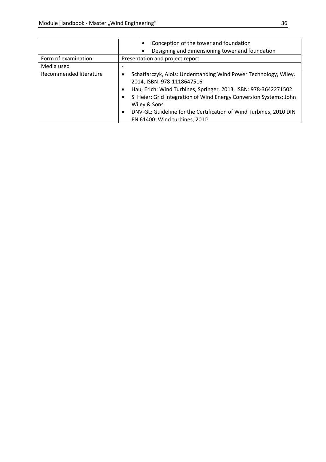|                        | Conception of the tower and foundation<br>$\bullet$                                                                                                                                                                                                                                                                                                                 |
|------------------------|---------------------------------------------------------------------------------------------------------------------------------------------------------------------------------------------------------------------------------------------------------------------------------------------------------------------------------------------------------------------|
|                        | Designing and dimensioning tower and foundation                                                                                                                                                                                                                                                                                                                     |
| Form of examination    | Presentation and project report                                                                                                                                                                                                                                                                                                                                     |
| Media used             |                                                                                                                                                                                                                                                                                                                                                                     |
| Recommended literature | Schaffarczyk, Alois: Understanding Wind Power Technology, Wiley,<br>2014, ISBN: 978-1118647516<br>Hau, Erich: Wind Turbines, Springer, 2013, ISBN: 978-3642271502<br>S. Heier; Grid Integration of Wind Energy Conversion Systems; John<br>٠<br>Wiley & Sons<br>DNV-GL: Guideline for the Certification of Wind Turbines, 2010 DIN<br>EN 61400: Wind turbines, 2010 |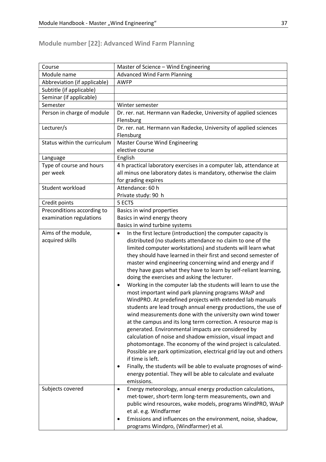# **Module number [22]: Advanced Wind Farm Planning**

| Course                                 | Master of Science - Wind Engineering                                                                                                                                                                                                                                                                                                                                                                                                                                                                                                                                                                                                                                                                                                                                                                                                                                                                                                                                                                                                                                                                                                                                                                                                                                                            |
|----------------------------------------|-------------------------------------------------------------------------------------------------------------------------------------------------------------------------------------------------------------------------------------------------------------------------------------------------------------------------------------------------------------------------------------------------------------------------------------------------------------------------------------------------------------------------------------------------------------------------------------------------------------------------------------------------------------------------------------------------------------------------------------------------------------------------------------------------------------------------------------------------------------------------------------------------------------------------------------------------------------------------------------------------------------------------------------------------------------------------------------------------------------------------------------------------------------------------------------------------------------------------------------------------------------------------------------------------|
| Module name                            | <b>Advanced Wind Farm Planning</b>                                                                                                                                                                                                                                                                                                                                                                                                                                                                                                                                                                                                                                                                                                                                                                                                                                                                                                                                                                                                                                                                                                                                                                                                                                                              |
| Abbreviation (if applicable)           | <b>AWFP</b>                                                                                                                                                                                                                                                                                                                                                                                                                                                                                                                                                                                                                                                                                                                                                                                                                                                                                                                                                                                                                                                                                                                                                                                                                                                                                     |
| Subtitle (if applicable)               |                                                                                                                                                                                                                                                                                                                                                                                                                                                                                                                                                                                                                                                                                                                                                                                                                                                                                                                                                                                                                                                                                                                                                                                                                                                                                                 |
| Seminar (if applicable)                |                                                                                                                                                                                                                                                                                                                                                                                                                                                                                                                                                                                                                                                                                                                                                                                                                                                                                                                                                                                                                                                                                                                                                                                                                                                                                                 |
| Semester                               | Winter semester                                                                                                                                                                                                                                                                                                                                                                                                                                                                                                                                                                                                                                                                                                                                                                                                                                                                                                                                                                                                                                                                                                                                                                                                                                                                                 |
| Person in charge of module             | Dr. rer. nat. Hermann van Radecke, University of applied sciences<br>Flensburg                                                                                                                                                                                                                                                                                                                                                                                                                                                                                                                                                                                                                                                                                                                                                                                                                                                                                                                                                                                                                                                                                                                                                                                                                  |
| Lecturer/s                             | Dr. rer. nat. Hermann van Radecke, University of applied sciences<br>Flensburg                                                                                                                                                                                                                                                                                                                                                                                                                                                                                                                                                                                                                                                                                                                                                                                                                                                                                                                                                                                                                                                                                                                                                                                                                  |
| Status within the curriculum           | <b>Master Course Wind Engineering</b><br>elective course                                                                                                                                                                                                                                                                                                                                                                                                                                                                                                                                                                                                                                                                                                                                                                                                                                                                                                                                                                                                                                                                                                                                                                                                                                        |
|                                        |                                                                                                                                                                                                                                                                                                                                                                                                                                                                                                                                                                                                                                                                                                                                                                                                                                                                                                                                                                                                                                                                                                                                                                                                                                                                                                 |
| Language                               | English                                                                                                                                                                                                                                                                                                                                                                                                                                                                                                                                                                                                                                                                                                                                                                                                                                                                                                                                                                                                                                                                                                                                                                                                                                                                                         |
| Type of course and hours<br>per week   | 4 h practical laboratory exercises in a computer lab, attendance at<br>all minus one laboratory dates is mandatory, otherwise the claim<br>for grading expires                                                                                                                                                                                                                                                                                                                                                                                                                                                                                                                                                                                                                                                                                                                                                                                                                                                                                                                                                                                                                                                                                                                                  |
| Student workload                       | Attendance: 60 h<br>Private study: 90 h                                                                                                                                                                                                                                                                                                                                                                                                                                                                                                                                                                                                                                                                                                                                                                                                                                                                                                                                                                                                                                                                                                                                                                                                                                                         |
| Credit points                          | 5 ECTS                                                                                                                                                                                                                                                                                                                                                                                                                                                                                                                                                                                                                                                                                                                                                                                                                                                                                                                                                                                                                                                                                                                                                                                                                                                                                          |
| Preconditions according to             | Basics in wind properties                                                                                                                                                                                                                                                                                                                                                                                                                                                                                                                                                                                                                                                                                                                                                                                                                                                                                                                                                                                                                                                                                                                                                                                                                                                                       |
| examination regulations                | Basics in wind energy theory                                                                                                                                                                                                                                                                                                                                                                                                                                                                                                                                                                                                                                                                                                                                                                                                                                                                                                                                                                                                                                                                                                                                                                                                                                                                    |
|                                        | Basics in wind turbine systems                                                                                                                                                                                                                                                                                                                                                                                                                                                                                                                                                                                                                                                                                                                                                                                                                                                                                                                                                                                                                                                                                                                                                                                                                                                                  |
| Aims of the module,<br>acquired skills | In the first lecture (introduction) the computer capacity is<br>$\bullet$<br>distributed (no students attendance no claim to one of the<br>limited computer workstations) and students will learn what<br>they should have learned in their first and second semester of<br>master wind engineering concerning wind and energy and if<br>they have gaps what they have to learn by self-reliant learning,<br>doing the exercises and asking the lecturer.<br>Working in the computer lab the students will learn to use the<br>$\bullet$<br>most important wind park planning programs WAsP and<br>WindPRO. At predefined projects with extended lab manuals<br>students are lead trough annual energy productions, the use of<br>wind measurements done with the university own wind tower<br>at the campus and its long term correction. A resource map is<br>generated. Environmental impacts are considered by<br>calculation of noise and shadow emission, visual impact and<br>photomontage. The economy of the wind project is calculated.<br>Possible are park optimization, electrical grid lay out and others<br>if time is left.<br>Finally, the students will be able to evaluate prognoses of wind-<br>energy potential. They will be able to calculate and evaluate<br>emissions. |
| Subjects covered                       | Energy meteorology, annual energy production calculations,<br>٠<br>met-tower, short-term long-term measurements, own and<br>public wind resources, wake models, programs WindPRO, WAsP<br>et al. e.g. Windfarmer<br>Emissions and influences on the environment, noise, shadow,<br>programs Windpro, (Windfarmer) et al.                                                                                                                                                                                                                                                                                                                                                                                                                                                                                                                                                                                                                                                                                                                                                                                                                                                                                                                                                                        |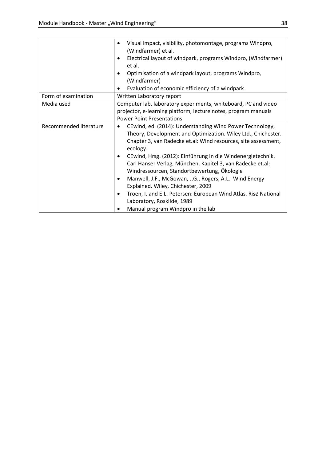|                        | Visual impact, visibility, photomontage, programs Windpro,<br>(Windfarmer) et al.<br>Electrical layout of windpark, programs Windpro, (Windfarmer)<br>٠<br>et al.<br>Optimisation of a windpark layout, programs Windpro,<br>(Windfarmer)<br>Evaluation of economic efficiency of a windpark                                                                                                                                                                                                                                                                                                                                                   |
|------------------------|------------------------------------------------------------------------------------------------------------------------------------------------------------------------------------------------------------------------------------------------------------------------------------------------------------------------------------------------------------------------------------------------------------------------------------------------------------------------------------------------------------------------------------------------------------------------------------------------------------------------------------------------|
| Form of examination    | Written Laboratory report                                                                                                                                                                                                                                                                                                                                                                                                                                                                                                                                                                                                                      |
| Media used             | Computer lab, laboratory experiments, whiteboard, PC and video<br>projector, e-learning platform, lecture notes, program manuals<br><b>Power Point Presentations</b>                                                                                                                                                                                                                                                                                                                                                                                                                                                                           |
| Recommended literature | CEwind, ed. (2014): Understanding Wind Power Technology,<br>٠<br>Theory, Development and Optimization. Wiley Ltd., Chichester.<br>Chapter 3, van Radecke et.al: Wind resources, site assessment,<br>ecology.<br>CEwind, Hrsg. (2012): Einführung in die Windenergietechnik.<br>٠<br>Carl Hanser Verlag, München, Kapitel 3, van Radecke et.al:<br>Windressourcen, Standortbewertung, Ökologie<br>Manwell, J.F., McGowan, J.G., Rogers, A.L.: Wind Energy<br>٠<br>Explained. Wiley, Chichester, 2009<br>Troen, I. and E.L. Petersen: European Wind Atlas. Risø National<br>٠<br>Laboratory, Roskilde, 1989<br>Manual program Windpro in the lab |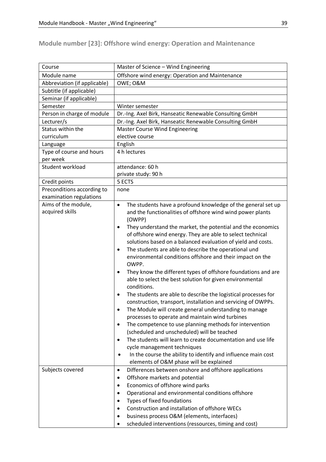| Course                       | Master of Science - Wind Engineering                                       |
|------------------------------|----------------------------------------------------------------------------|
| Module name                  | Offshore wind energy: Operation and Maintenance                            |
| Abbreviation (if applicable) | OWE; O&M                                                                   |
| Subtitle (if applicable)     |                                                                            |
| Seminar (if applicable)      |                                                                            |
| Semester                     | Winter semester                                                            |
| Person in charge of module   | Dr.-Ing. Axel Birk, Hanseatic Renewable Consulting GmbH                    |
| Lecturer/s                   | Dr.-Ing. Axel Birk, Hanseatic Renewable Consulting GmbH                    |
| Status within the            | <b>Master Course Wind Engineering</b>                                      |
| curriculum                   | elective course                                                            |
| Language                     | English                                                                    |
| Type of course and hours     | 4 h lectures                                                               |
| per week                     |                                                                            |
| Student workload             | attendance: 60 h                                                           |
|                              | private study: 90 h                                                        |
| Credit points                | 5 ECTS                                                                     |
| Preconditions according to   | none                                                                       |
| examination regulations      |                                                                            |
| Aims of the module,          | The students have a profound knowledge of the general set up<br>$\bullet$  |
| acquired skills              | and the functionalities of offshore wind wind power plants<br>(OWPP)       |
|                              | They understand the market, the potential and the economics<br>$\bullet$   |
|                              | of offshore wind energy. They are able to select technical                 |
|                              | solutions based on a balanced evaluation of yield and costs.               |
|                              | The students are able to describe the operational und<br>$\bullet$         |
|                              | environmental conditions offshore and their impact on the<br>OWPP.         |
|                              | They know the different types of offshore foundations and are<br>$\bullet$ |
|                              | able to select the best solution for given environmental<br>conditions.    |
|                              | The students are able to describe the logistical processes for             |
|                              | construction, transport, installation and servicing of OWPPs.              |
|                              | The Module will create general understanding to manage                     |
|                              | processes to operate and maintain wind turbines                            |
|                              | The competence to use planning methods for intervention                    |
|                              | (scheduled and unscheduled) will be teached                                |
|                              | The students will learn to create documentation and use life               |
|                              | cycle management techniques                                                |
|                              | In the course the ability to identify and influence main cost              |

elements of O&M phase will be explained

• Operational and environmental conditions offshore

• scheduled interventions (ressources, timing and cost)

• Construction and installation of offshore WECs • business process O&M (elements, interfaces)

Subjects covered • Differences between onshore and offshore applications

• Types of fixed foundations

• Offshore markets and potential • Economics of offshore wind parks

#### **Module number [23]: Offshore wind energy: Operation and Maintenance**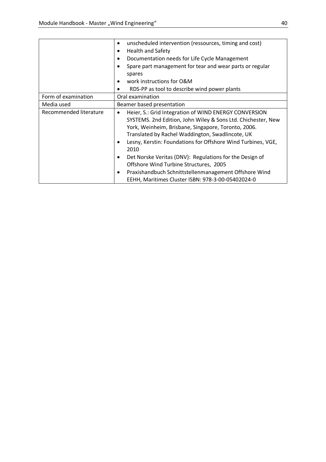|                        | unscheduled intervention (ressources, timing and cost)<br>$\bullet$  |
|------------------------|----------------------------------------------------------------------|
|                        | <b>Health and Safety</b><br>$\bullet$                                |
|                        | Documentation needs for Life Cycle Management<br>$\bullet$           |
|                        | Spare part management for tear and wear parts or regular<br>٠        |
|                        | spares                                                               |
|                        | work instructions for O&M                                            |
|                        | RDS-PP as tool to describe wind power plants                         |
| Form of examination    | Oral examination                                                     |
| Media used             | Beamer based presentation                                            |
| Recommended literature | Heier, S.: Grid Integration of WIND ENERGY CONVERSION<br>$\bullet$   |
|                        | SYSTEMS. 2nd Edition, John Wiley & Sons Ltd. Chichester, New         |
|                        | York, Weinheim, Brisbane, Singapore, Toronto, 2006.                  |
|                        | Translated by Rachel Waddington, Swadlincote, UK                     |
|                        | Lesny, Kerstin: Foundations for Offshore Wind Turbines, VGE,         |
|                        | 2010                                                                 |
|                        | Det Norske Veritas (DNV): Regulations for the Design of<br>$\bullet$ |
|                        | Offshore Wind Turbine Structures, 2005                               |
|                        | Praxishandbuch Schnittstellenmanagement Offshore Wind<br>٠           |
|                        | EEHH, Maritimes Cluster ISBN: 978-3-00-05402024-0                    |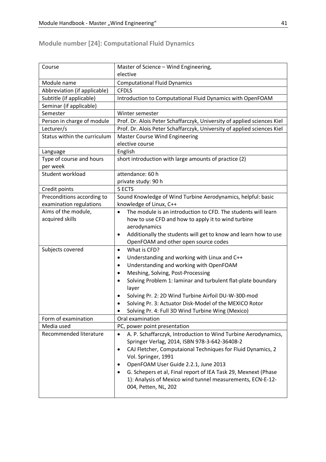# **Module number [24]: Computational Fluid Dynamics**

| Course                       | Master of Science - Wind Engineering,                                              |
|------------------------------|------------------------------------------------------------------------------------|
|                              | elective                                                                           |
| Module name                  | <b>Computational Fluid Dynamics</b>                                                |
| Abbreviation (if applicable) | <b>CFDLS</b>                                                                       |
| Subtitle (if applicable)     | Introduction to Computational Fluid Dynamics with OpenFOAM                         |
| Seminar (if applicable)      |                                                                                    |
| Semester                     | Winter semester                                                                    |
| Person in charge of module   | Prof. Dr. Alois Peter Schaffarczyk, University of applied sciences Kiel            |
| Lecturer/s                   | Prof. Dr. Alois Peter Schaffarczyk, University of applied sciences Kiel            |
| Status within the curriculum | <b>Master Course Wind Engineering</b>                                              |
|                              | elective course                                                                    |
| Language                     | English                                                                            |
| Type of course and hours     | short introduction with large amounts of practice (2)                              |
| per week                     |                                                                                    |
| Student workload             | attendance: 60 h                                                                   |
|                              | private study: 90 h                                                                |
| Credit points                | 5 ECTS                                                                             |
| Preconditions according to   | Sound Knowledge of Wind Turbine Aerodynamics, helpful: basic                       |
| examination regulations      | knowledge of Linux, C++                                                            |
| Aims of the module,          | The module is an introduction to CFD. The students will learn<br>$\bullet$         |
| acquired skills              | how to use CFD and how to apply it to wind turbine                                 |
|                              | aerodynamics                                                                       |
|                              | Additionally the students will get to know and learn how to use<br>٠               |
|                              | OpenFOAM and other open source codes                                               |
| Subjects covered             | What is CFD?<br>$\bullet$                                                          |
|                              | Understanding and working with Linux and C++<br>$\bullet$                          |
|                              | Understanding and working with OpenFOAM<br>$\bullet$                               |
|                              | Meshing, Solving, Post-Processing<br>$\bullet$                                     |
|                              | Solving Problem 1: laminar and turbulent flat-plate boundary<br>$\bullet$<br>layer |
|                              | Solving Pr. 2: 2D Wind Turbine Airfoil DU-W-300-mod<br>٠                           |
|                              | Solving Pr. 3: Actuator Disk-Model of the MEXICO Rotor<br>$\bullet$                |
|                              | Solving Pr. 4: Full 3D Wind Turbine Wing (Mexico)<br>٠                             |
| Form of examination          | Oral examination                                                                   |
| Media used                   | PC, power point presentation                                                       |
| Recommended literature       | A. P. Schaffarczyk, Introduction to Wind Turbine Aerodynamics,<br>$\bullet$        |
|                              | Springer Verlag, 2014, ISBN 978-3-642-36408-2                                      |
|                              | CAJ Fletcher, Computaional Techniques for Fluid Dynamics, 2<br>٠                   |
|                              | Vol. Springer, 1991                                                                |
|                              | OpenFOAM User Guide 2.2.1, June 2013                                               |
|                              | G. Schepers et al, Final report of IEA Task 29, Mexnext (Phase                     |
|                              | 1): Analysis of Mexico wind tunnel measurements, ECN-E-12-                         |
|                              | 004, Petten, NL, 202                                                               |
|                              |                                                                                    |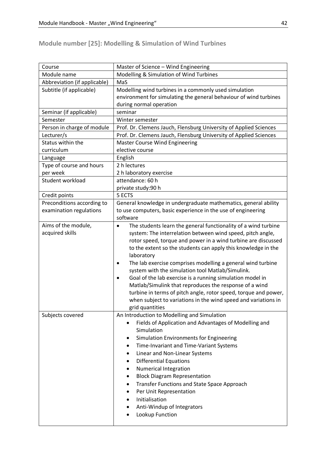# **Module number [25]: Modelling & Simulation of Wind Turbines**

| Course                       | Master of Science - Wind Engineering                                                                            |
|------------------------------|-----------------------------------------------------------------------------------------------------------------|
| Module name                  | Modelling & Simulation of Wind Turbines                                                                         |
| Abbreviation (if applicable) | MaS                                                                                                             |
| Subtitle (if applicable)     | Modelling wind turbines in a commonly used simulation                                                           |
|                              | environment for simulating the general behaviour of wind turbines                                               |
|                              | during normal operation                                                                                         |
| Seminar (if applicable)      | seminar                                                                                                         |
| Semester                     | Winter semester                                                                                                 |
| Person in charge of module   | Prof. Dr. Clemens Jauch, Flensburg University of Applied Sciences                                               |
| Lecturer/s                   | Prof. Dr. Clemens Jauch, Flensburg University of Applied Sciences                                               |
| Status within the            | <b>Master Course Wind Engineering</b>                                                                           |
| curriculum                   | elective course                                                                                                 |
| Language                     | English                                                                                                         |
| Type of course and hours     | 2 h lectures                                                                                                    |
| per week                     | 2 h laboratory exercise                                                                                         |
| Student workload             | attendance: 60 h                                                                                                |
|                              | private study:90 h                                                                                              |
| Credit points                | 5 ECTS                                                                                                          |
| Preconditions according to   | General knowledge in undergraduate mathematics, general ability                                                 |
| examination regulations      | to use computers, basic experience in the use of engineering                                                    |
|                              | software                                                                                                        |
| Aims of the module,          | The students learn the general functionality of a wind turbine<br>$\bullet$                                     |
| acquired skills              | system: The interrelation between wind speed, pitch angle,                                                      |
|                              | rotor speed, torque and power in a wind turbine are discussed                                                   |
|                              | to the extent so the students can apply this knowledge in the                                                   |
|                              | laboratory                                                                                                      |
|                              | The lab exercise comprises modelling a general wind turbine<br>system with the simulation tool Matlab/Simulink. |
|                              | Goal of the lab exercise is a running simulation model in                                                       |
|                              | Matlab/Simulink that reproduces the response of a wind                                                          |
|                              | turbine in terms of pitch angle, rotor speed, torque and power,                                                 |
|                              | when subject to variations in the wind speed and variations in                                                  |
|                              | grid quantities                                                                                                 |
| Subjects covered             | An Introduction to Modelling and Simulation                                                                     |
|                              | Fields of Application and Advantages of Modelling and                                                           |
|                              | Simulation                                                                                                      |
|                              | Simulation Environments for Engineering<br>٠                                                                    |
|                              | Time-Invariant and Time-Variant Systems                                                                         |
|                              | Linear and Non-Linear Systems                                                                                   |
|                              | <b>Differential Equations</b><br>٠                                                                              |
|                              | <b>Numerical Integration</b>                                                                                    |
|                              | <b>Block Diagram Representation</b><br>٠                                                                        |
|                              | Transfer Functions and State Space Approach<br>٠                                                                |
|                              | Per Unit Representation                                                                                         |
|                              | Initialisation                                                                                                  |
|                              | Anti-Windup of Integrators                                                                                      |
|                              | Lookup Function                                                                                                 |
|                              |                                                                                                                 |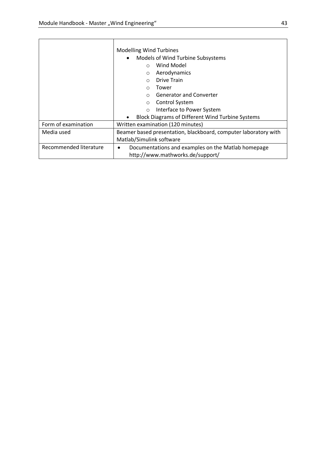|                        | <b>Modelling Wind Turbines</b><br>Models of Wind Turbine Subsystems<br>Wind Model<br>$\bigcap$<br>Aerodynamics<br>$\circ$<br><b>Drive Train</b><br>Tower<br>$\Omega$<br><b>Generator and Converter</b><br>Control System<br>$\circ$ |
|------------------------|-------------------------------------------------------------------------------------------------------------------------------------------------------------------------------------------------------------------------------------|
|                        | Interface to Power System<br>$\circ$                                                                                                                                                                                                |
|                        | <b>Block Diagrams of Different Wind Turbine Systems</b>                                                                                                                                                                             |
| Form of examination    | Written examination (120 minutes)                                                                                                                                                                                                   |
| Media used             | Beamer based presentation, blackboard, computer laboratory with                                                                                                                                                                     |
|                        | Matlab/Simulink software                                                                                                                                                                                                            |
| Recommended literature | Documentations and examples on the Matlab homepage<br>http://www.mathworks.de/support/                                                                                                                                              |

L,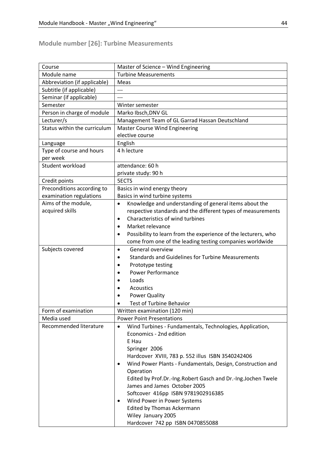#### **Module number [26]: Turbine Measurements**

| Course                       | Master of Science - Wind Engineering                                        |
|------------------------------|-----------------------------------------------------------------------------|
| Module name                  | <b>Turbine Measurements</b>                                                 |
| Abbreviation (if applicable) | Meas                                                                        |
| Subtitle (if applicable)     | $---$                                                                       |
| Seminar (if applicable)      |                                                                             |
| Semester                     | Winter semester                                                             |
| Person in charge of module   | Marko Ibsch, DNV GL                                                         |
| Lecturer/s                   | Management Team of GL Garrad Hassan Deutschland                             |
| Status within the curriculum | <b>Master Course Wind Engineering</b>                                       |
|                              | elective course                                                             |
| Language                     | English                                                                     |
| Type of course and hours     | 4 h lecture                                                                 |
| per week                     |                                                                             |
| Student workload             | attendance: 60 h                                                            |
|                              | private study: 90 h                                                         |
| Credit points                | <b>SECTS</b>                                                                |
| Preconditions according to   | Basics in wind energy theory                                                |
| examination regulations      | Basics in wind turbine systems                                              |
| Aims of the module,          | Knowledge and understanding of general items about the<br>$\bullet$         |
| acquired skills              | respective standards and the different types of measurements                |
|                              | Characteristics of wind turbines<br>$\bullet$                               |
|                              | Market relevance<br>$\bullet$                                               |
|                              | Possibility to learn from the experience of the lecturers, who<br>$\bullet$ |
|                              | come from one of the leading testing companies worldwide                    |
| Subjects covered             | General overview<br>$\bullet$                                               |
|                              | <b>Standards and Guidelines for Turbine Measurements</b><br>$\bullet$       |
|                              | Prototype testing<br>$\bullet$                                              |
|                              | <b>Power Performance</b>                                                    |
|                              | Loads                                                                       |
|                              | Acoustics                                                                   |
|                              | <b>Power Quality</b>                                                        |
|                              | Test of Turbine Behavior                                                    |
|                              |                                                                             |
| Form of examination          | Written examination (120 min)                                               |
| Media used                   | <b>Power Point Presentations</b>                                            |
| Recommended literature       | Wind Turbines - Fundamentals, Technologies, Application,<br>$\bullet$       |
|                              | Economics - 2nd edition                                                     |
|                              | E Hau                                                                       |
|                              | Springer 2006                                                               |
|                              | Hardcover XVIII, 783 p. 552 illus ISBN 3540242406                           |
|                              | Wind Power Plants - Fundamentals, Design, Construction and<br>٠             |
|                              | Operation                                                                   |
|                              | Edited by Prof.Dr.-Ing.Robert Gasch and Dr.-Ing.Jochen Twele                |
|                              | James and James October 2005                                                |
|                              | Softcover 416pp ISBN 9781902916385                                          |
|                              | Wind Power in Power Systems                                                 |
|                              | <b>Edited by Thomas Ackermann</b>                                           |
|                              | Wiley January 2005                                                          |
|                              | Hardcover 742 pp ISBN 0470855088                                            |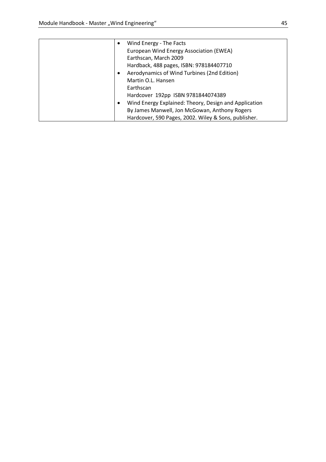| Wind Energy - The Facts                               |
|-------------------------------------------------------|
| European Wind Energy Association (EWEA)               |
| Earthscan, March 2009                                 |
| Hardback, 488 pages, ISBN: 978184407710               |
| Aerodynamics of Wind Turbines (2nd Edition)           |
| Martin O.L. Hansen                                    |
| Earthscan                                             |
| Hardcover 192pp ISBN 9781844074389                    |
| Wind Energy Explained: Theory, Design and Application |
| By James Manwell, Jon McGowan, Anthony Rogers         |
| Hardcover, 590 Pages, 2002. Wiley & Sons, publisher.  |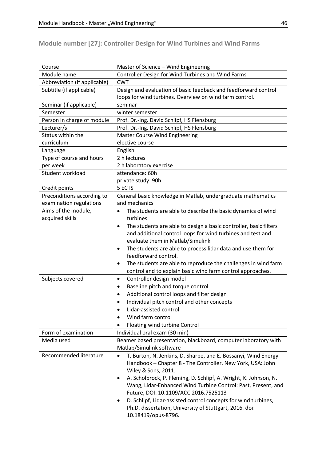**Module number [27]: Controller Design for Wind Turbines and Wind Farms** 

| Course                       | Master of Science - Wind Engineering                                           |
|------------------------------|--------------------------------------------------------------------------------|
| Module name                  | Controller Design for Wind Turbines and Wind Farms                             |
| Abbreviation (if applicable) | <b>CWT</b>                                                                     |
| Subtitle (if applicable)     | Design and evaluation of basic feedback and feedforward control                |
|                              | loops for wind turbines. Overview on wind farm control.                        |
| Seminar (if applicable)      | seminar                                                                        |
| Semester                     | winter semester                                                                |
| Person in charge of module   | Prof. Dr.-Ing. David Schlipf, HS Flensburg                                     |
| Lecturer/s                   | Prof. Dr.-Ing. David Schlipf, HS Flensburg                                     |
| Status within the            | <b>Master Course Wind Engineering</b>                                          |
| curriculum                   | elective course                                                                |
| Language                     | English                                                                        |
| Type of course and hours     | 2 h lectures                                                                   |
| per week                     | 2 h laboratory exercise                                                        |
| Student workload             | attendance: 60h                                                                |
|                              | private study: 90h                                                             |
| Credit points                | 5 ECTS                                                                         |
| Preconditions according to   | General basic knowledge in Matlab, undergraduate mathematics                   |
| examination regulations      | and mechanics                                                                  |
| Aims of the module,          | The students are able to describe the basic dynamics of wind                   |
| acquired skills              | turbines.                                                                      |
|                              | The students are able to design a basic controller, basic filters<br>$\bullet$ |
|                              | and additional control loops for wind turbines and test and                    |
|                              | evaluate them in Matlab/Simulink.                                              |
|                              | The students are able to process lidar data and use them for<br>$\bullet$      |
|                              | feedforward control.                                                           |
|                              | The students are able to reproduce the challenges in wind farm<br>$\bullet$    |
|                              | control and to explain basic wind farm control approaches.                     |
| Subjects covered             | Controller design model<br>$\bullet$                                           |
|                              | Baseline pitch and torque control<br>$\bullet$                                 |
|                              | Additional control loops and filter design<br>$\bullet$                        |
|                              | Individual pitch control and other concepts                                    |
|                              | Lidar-assisted control                                                         |
|                              | Wind farm control                                                              |
|                              | Floating wind turbine Control                                                  |
| Form of examination          | Individual oral exam (30 min)                                                  |
| Media used                   | Beamer based presentation, blackboard, computer laboratory with                |
|                              | Matlab/Simulink software                                                       |
| Recommended literature       | T. Burton, N. Jenkins, D. Sharpe, and E. Bossanyi, Wind Energy                 |
|                              | Handbook - Chapter 8 - The Controller. New York, USA: John                     |
|                              | Wiley & Sons, 2011.                                                            |
|                              | A. Scholbrock, P. Fleming, D. Schlipf, A. Wright, K. Johnson, N.               |
|                              | Wang, Lidar-Enhanced Wind Turbine Control: Past, Present, and                  |
|                              | Future, DOI: 10.1109/ACC.2016.7525113                                          |
|                              | D. Schlipf, Lidar-assisted control concepts for wind turbines,                 |
|                              | Ph.D. dissertation, University of Stuttgart, 2016. doi:                        |
|                              | 10.18419/opus-8796.                                                            |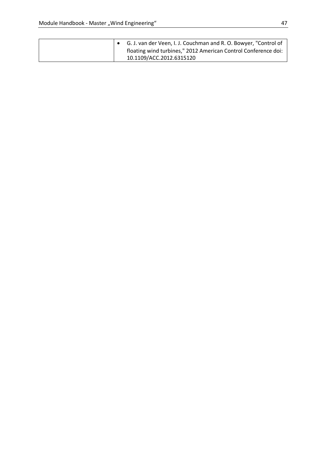| G. J. van der Veen, I. J. Couchman and R. O. Bowyer, "Control of<br>floating wind turbines," 2012 American Control Conference doi: |
|------------------------------------------------------------------------------------------------------------------------------------|
| 10.1109/ACC.2012.6315120                                                                                                           |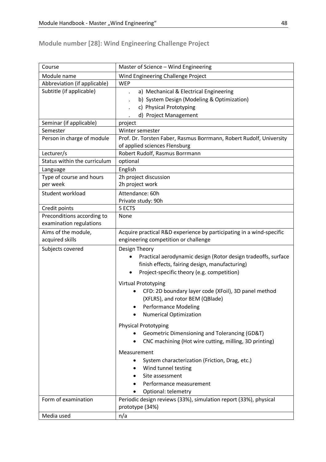# **Module number [28]: Wind Engineering Challenge Project**

| Course                       | Master of Science - Wind Engineering                                                                                                                                                  |
|------------------------------|---------------------------------------------------------------------------------------------------------------------------------------------------------------------------------------|
| Module name                  | Wind Engineering Challenge Project                                                                                                                                                    |
| Abbreviation (if applicable) | <b>WEP</b>                                                                                                                                                                            |
| Subtitle (if applicable)     | a) Mechanical & Electrical Engineering                                                                                                                                                |
|                              | b) System Design (Modeling & Optimization)                                                                                                                                            |
|                              | c) Physical Prototyping                                                                                                                                                               |
|                              | d) Project Management                                                                                                                                                                 |
| Seminar (if applicable)      | project                                                                                                                                                                               |
| Semester                     | Winter semester                                                                                                                                                                       |
| Person in charge of module   | Prof. Dr. Torsten Faber, Rasmus Borrmann, Robert Rudolf, University                                                                                                                   |
|                              | of applied sciences Flensburg                                                                                                                                                         |
| Lecturer/s                   | Robert Rudolf, Rasmus Borrmann                                                                                                                                                        |
| Status within the curriculum | optional                                                                                                                                                                              |
| Language                     | English                                                                                                                                                                               |
| Type of course and hours     | 2h project discussion                                                                                                                                                                 |
| per week                     | 2h project work                                                                                                                                                                       |
| Student workload             | Attendance: 60h                                                                                                                                                                       |
|                              | Private study: 90h                                                                                                                                                                    |
| Credit points                | 5 ECTS                                                                                                                                                                                |
| Preconditions according to   | None                                                                                                                                                                                  |
| examination regulations      |                                                                                                                                                                                       |
| Aims of the module,          | Acquire practical R&D experience by participating in a wind-specific                                                                                                                  |
| acquired skills              | engineering competition or challenge                                                                                                                                                  |
| Subjects covered             | Design Theory<br>Practical aerodynamic design (Rotor design tradeoffs, surface<br>finish effects, fairing design, manufacturing)<br>Project-specific theory (e.g. competition)        |
|                              | <b>Virtual Prototyping</b><br>CFD: 2D boundary layer code (XFoil), 3D panel method<br>(XFLR5), and rotor BEM (QBlade)<br><b>Performance Modeling</b><br><b>Numerical Optimization</b> |
|                              | <b>Physical Prototyping</b><br>Geometric Dimensioning and Tolerancing (GD&T)<br>CNC machining (Hot wire cutting, milling, 3D printing)                                                |
|                              | Measurement<br>System characterization (Friction, Drag, etc.)<br>Wind tunnel testing<br>$\bullet$<br>Site assessment<br>Performance measurement<br>$\bullet$<br>Optional: telemetry   |
| Form of examination          | Periodic design reviews (33%), simulation report (33%), physical<br>prototype (34%)                                                                                                   |
| Media used                   | n/a                                                                                                                                                                                   |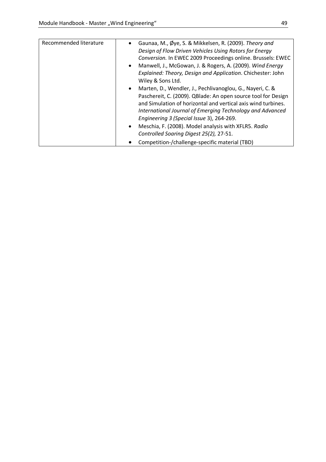| Gaunaa, M., Øye, S. & Mikkelsen, R. (2009). Theory and<br>Design of Flow Driven Vehicles Using Rotors for Energy<br>Conversion. In EWEC 2009 Proceedings online. Brussels: EWEC<br>• Manwell, J., McGowan, J. & Rogers, A. (2009). Wind Energy<br>Explained: Theory, Design and Application. Chichester: John<br>Wiley & Sons Ltd.<br>Marten, D., Wendler, J., Pechlivanoglou, G., Nayeri, C. &<br>$\bullet$<br>Paschereit, C. (2009). QBlade: An open source tool for Design<br>and Simulation of horizontal and vertical axis wind turbines.<br>International Journal of Emerging Technology and Advanced<br>Engineering 3 (Special Issue 3), 264-269.<br>Meschia, F. (2008). Model analysis with XFLR5. Radio<br>$\bullet$ |
|-------------------------------------------------------------------------------------------------------------------------------------------------------------------------------------------------------------------------------------------------------------------------------------------------------------------------------------------------------------------------------------------------------------------------------------------------------------------------------------------------------------------------------------------------------------------------------------------------------------------------------------------------------------------------------------------------------------------------------|
| Controlled Soaring Digest 25(2), 27-51.<br>Competition-/challenge-specific material (TBD)                                                                                                                                                                                                                                                                                                                                                                                                                                                                                                                                                                                                                                     |
|                                                                                                                                                                                                                                                                                                                                                                                                                                                                                                                                                                                                                                                                                                                               |